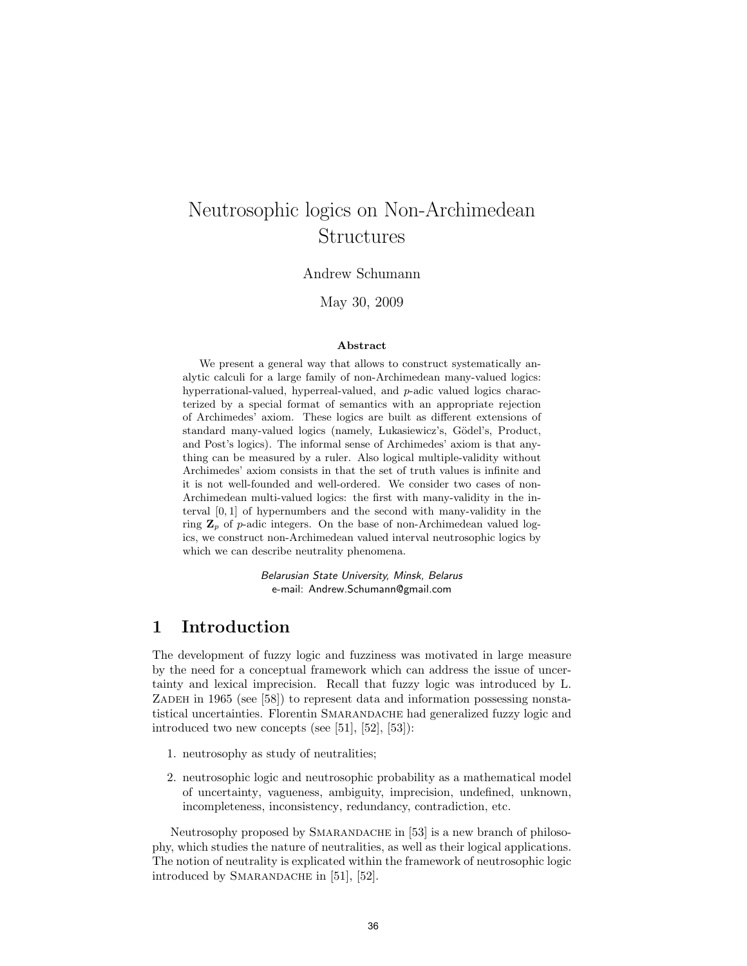# Neutrosophic logics on Non-Archimedean Structures

Andrew Schumann

May 30, 2009

#### Abstract

We present a general way that allows to construct systematically analytic calculi for a large family of non-Archimedean many-valued logics: hyperrational-valued, hyperreal-valued, and p-adic valued logics characterized by a special format of semantics with an appropriate rejection of Archimedes' axiom. These logics are built as different extensions of standard many-valued logics (namely, Lukasiewicz's, Gödel's, Product, and Post's logics). The informal sense of Archimedes' axiom is that anything can be measured by a ruler. Also logical multiple-validity without Archimedes' axiom consists in that the set of truth values is infinite and it is not well-founded and well-ordered. We consider two cases of non-Archimedean multi-valued logics: the first with many-validity in the interval [0, 1] of hypernumbers and the second with many-validity in the ring  $\mathbf{Z}_p$  of p-adic integers. On the base of non-Archimedean valued logics, we construct non-Archimedean valued interval neutrosophic logics by which we can describe neutrality phenomena.

> Belarusian State University, Minsk, Belarus e-mail: Andrew.Schumann@gmail.com

#### 1 Introduction

The development of fuzzy logic and fuzziness was motivated in large measure by the need for a conceptual framework which can address the issue of uncertainty and lexical imprecision. Recall that fuzzy logic was introduced by L. ZADEH in 1965 (see [58]) to represent data and information possessing nonstatistical uncertainties. Florentin Smarandache had generalized fuzzy logic and introduced two new concepts (see [51], [52], [53]):

- 1. neutrosophy as study of neutralities;
- 2. neutrosophic logic and neutrosophic probability as a mathematical model of uncertainty, vagueness, ambiguity, imprecision, undefined, unknown, incompleteness, inconsistency, redundancy, contradiction, etc.

Neutrosophy proposed by SMARANDACHE in [53] is a new branch of philosophy, which studies the nature of neutralities, as well as their logical applications. The notion of neutrality is explicated within the framework of neutrosophic logic introduced by SMARANDACHE in [51], [52].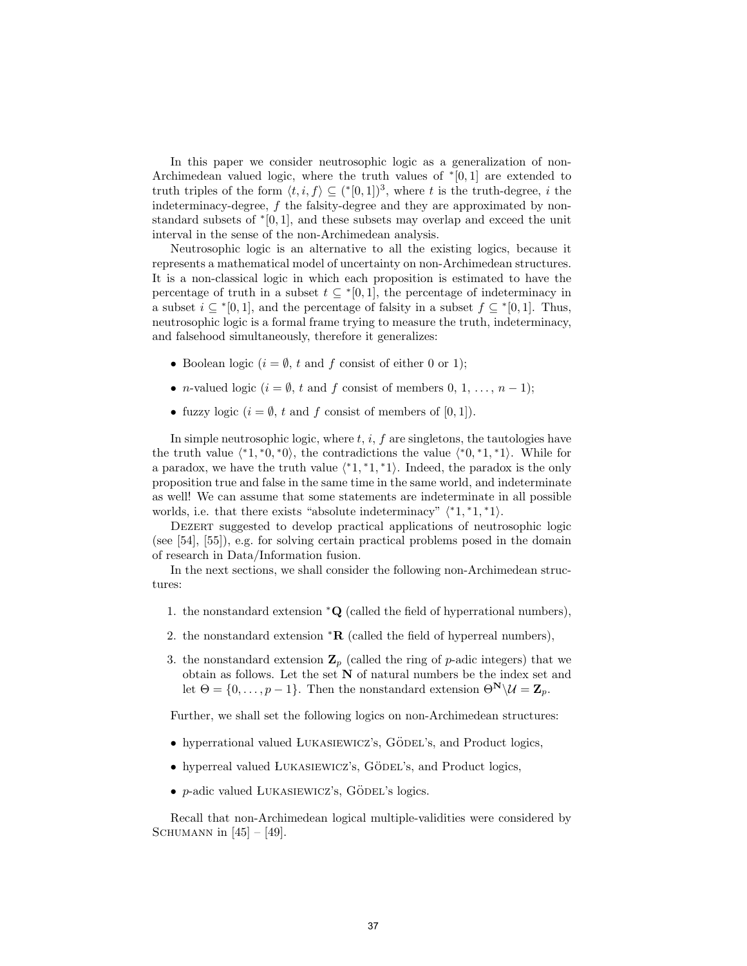In this paper we consider neutrosophic logic as a generalization of non-Archimedean valued logic, where the truth values of  $*(0,1]$  are extended to truth triples of the form  $\langle t, i, f \rangle \subseteq (*0, 1])^3$ , where t is the truth-degree, i the indeterminacy-degree, f the falsity-degree and they are approximated by nonstandard subsets of <sup>∗</sup> [0, 1], and these subsets may overlap and exceed the unit interval in the sense of the non-Archimedean analysis.

Neutrosophic logic is an alternative to all the existing logics, because it represents a mathematical model of uncertainty on non-Archimedean structures. It is a non-classical logic in which each proposition is estimated to have the percentage of truth in a subset  $t \subseteq [0,1]$ , the percentage of indeterminacy in a subset  $i \subseteq [0,1]$ , and the percentage of falsity in a subset  $f \subseteq [0,1]$ . Thus, neutrosophic logic is a formal frame trying to measure the truth, indeterminacy, and falsehood simultaneously, therefore it generalizes:

- Boolean logic  $(i = \emptyset, t \text{ and } f \text{ consist of either } 0 \text{ or } 1);$
- *n*-valued logic ( $i = \emptyset$ , t and f consist of members 0, 1, ...,  $n-1$ );
- fuzzy logic  $(i = \emptyset, t \text{ and } f \text{ consist of members of } [0, 1]).$

In simple neutrosophic logic, where  $t, i, f$  are singletons, the tautologies have the truth value  $\langle 1, 0, 0 \rangle$ , the contradictions the value  $\langle 0, 1, 1 \rangle$ . While for a paradox, we have the truth value  $\langle 1, 1, 1 \rangle$ . Indeed, the paradox is the only proposition true and false in the same time in the same world, and indeterminate as well! We can assume that some statements are indeterminate in all possible worlds, i.e. that there exists "absolute indeterminacy"  $(*1, *1, *1)$ .

DEZERT suggested to develop practical applications of neutrosophic logic (see [54], [55]), e.g. for solving certain practical problems posed in the domain of research in Data/Information fusion.

In the next sections, we shall consider the following non-Archimedean structures:

- 1. the nonstandard extension <sup>∗</sup>Q (called the field of hyperrational numbers),
- 2. the nonstandard extension  $*R$  (called the field of hyperreal numbers),
- 3. the nonstandard extension  $\mathbf{Z}_p$  (called the ring of p-adic integers) that we obtain as follows. Let the set  ${\bf N}$  of natural numbers be the index set and let  $\Theta = \{0, \ldots, p-1\}$ . Then the nonstandard extension  $\Theta^N \setminus \mathcal{U} = \mathbb{Z}_p$ .

Further, we shall set the following logics on non-Archimedean structures:

- hyperrational valued LUKASIEWICZ's, GÖDEL's, and Product logics,
- hyperreal valued LUKASIEWICZ's, GÖDEL's, and Product logics,
- $p$ -adic valued LUKASIEWICZ's, GÖDEL's logics.

Recall that non-Archimedean logical multiple-validities were considered by SCHUMANN in  $[45] - [49]$ .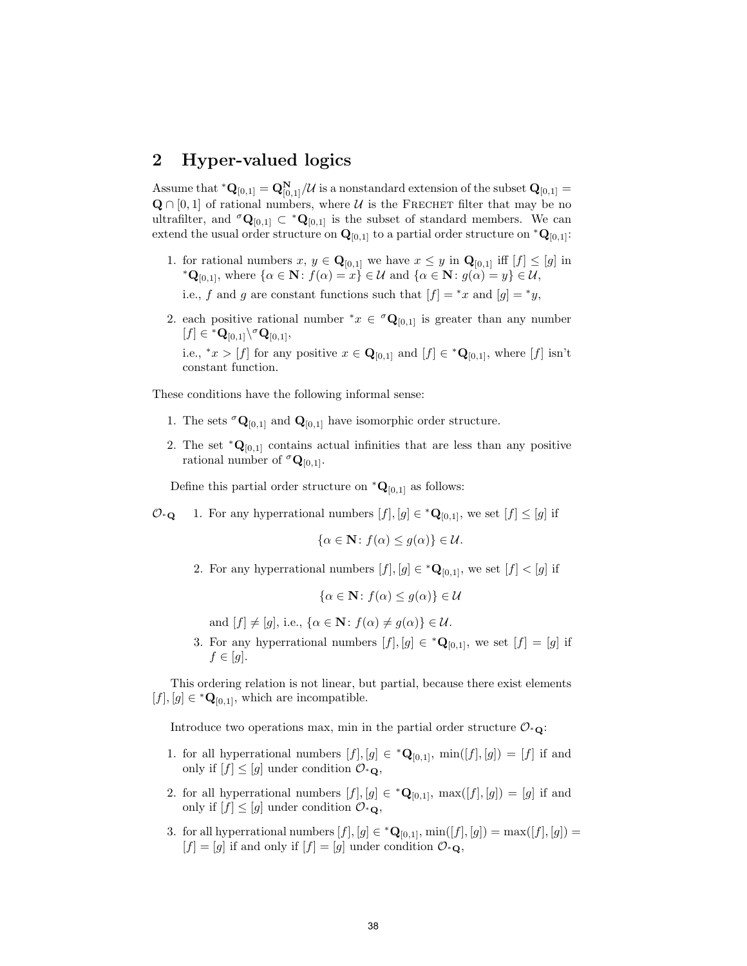#### 2 Hyper-valued logics

Assume that  $^*{\bf Q}_{[0,1]} = {\bf Q}_{[0,1]}^{\bf N}/\mathcal{U}$  is a nonstandard extension of the subset  ${\bf Q}_{[0,1]} =$  $\mathbf{Q} \cap [0,1]$  of rational numbers, where U is the FRECHET filter that may be no ultrafilter, and  ${}^{\sigma} \mathbf{Q}_{[0,1]} \subset {}^* \mathbf{Q}_{[0,1]}$  is the subset of standard members. We can extend the usual order structure on  $\mathbf{Q}_{[0,1]}$  to a partial order structure on  $^*\mathbf{Q}_{[0,1]}$ :

1. for rational numbers  $x, y \in \mathbf{Q}_{[0,1]}$  we have  $x \leq y$  in  $\mathbf{Q}_{[0,1]}$  iff  $[f] \leq [g]$  in \* $\mathbf{Q}_{[0,1]}$ , where  $\{\alpha \in \mathbf{N} : f(\alpha) = x\} \in \mathcal{U}$  and  $\{\alpha \in \mathbf{N} : g(\alpha) = y\} \in \mathcal{U}$ ,

i.e., f and g are constant functions such that  $[f] = *x$  and  $[g] = *y$ ,

2. each positive rational number  $^*x \in {}^{\sigma}Q_{[0,1]}$  is greater than any number  $[f] \in {^*{\mathbf{Q}}}_{[0,1]} \backslash {^{\sigma}{\mathbf{Q}}}_{[0,1]},$ 

i.e., \* $x > [f]$  for any positive  $x \in \mathbf{Q}_{[0,1]}$  and  $[f] \in {^*}\mathbf{Q}_{[0,1]}$ , where  $[f]$  isn't constant function.

These conditions have the following informal sense:

- 1. The sets  ${}^{\sigma} \mathbf{Q}_{[0,1]}$  and  $\mathbf{Q}_{[0,1]}$  have isomorphic order structure.
- 2. The set  $*{\bf Q}_{[0,1]}$  contains actual infinities that are less than any positive rational number of  $\sigma_{\mathbf{Q}_{[0,1]}}$ .

Define this partial order structure on  $^*{\bf Q}_{[0,1]}$  as follows:

 $\mathcal{O}_{\ast}$  any hyperrational numbers  $[f], [g] \in {\ast} \mathbf{Q}_{[0,1]},$  we set  $[f] \leq [g]$  if

$$
\{\alpha \in \mathbf{N} \colon f(\alpha) \le g(\alpha)\} \in \mathcal{U}.
$$

2. For any hyperrational numbers  $[f], [g] \in {^*Q}_{[0,1]}$ , we set  $[f] < [g]$  if

$$
\{\alpha \in \mathbf{N} \colon f(\alpha) \le g(\alpha)\} \in \mathcal{U}
$$

and  $[f] \neq [g]$ , i.e.,  $\{\alpha \in \mathbb{N} : f(\alpha) \neq g(\alpha)\} \in \mathcal{U}$ .

3. For any hyperrational numbers  $[f],[g] \in {^*\mathbf{Q}}_{[0,1]}$ , we set  $[f] = [g]$  if  $f \in [g]$ .

This ordering relation is not linear, but partial, because there exist elements  $[f], [g] \in {^*Q}_{[0,1]},$  which are incompatible.

Introduce two operations max, min in the partial order structure  $\mathcal{O}_{\ast}$ .

- 1. for all hyperrational numbers  $[f], [g] \in {^*Q}_{[0,1]}, \min([f], [g]) = [f]$  if and only if  $[f] \leq [g]$  under condition  $\mathcal{O}_{\ast}$ <sup>o</sup>,
- 2. for all hyperrational numbers  $[f], [g] \in {^*Q}_{[0,1]}, \max([f], [g]) = [g]$  if and only if  $[f] \leq [g]$  under condition  $\mathcal{O}_{\ast}$ **Q**,
- 3. for all hyperrational numbers  $[f], [g] \in {^*Q}_{[0,1]}, \min([f], [g]) = \max([f], [g]) =$  $[f] = [g]$  if and only if  $[f] = [g]$  under condition  $\mathcal{O}_{\ast}$ <sup>Q</sup>,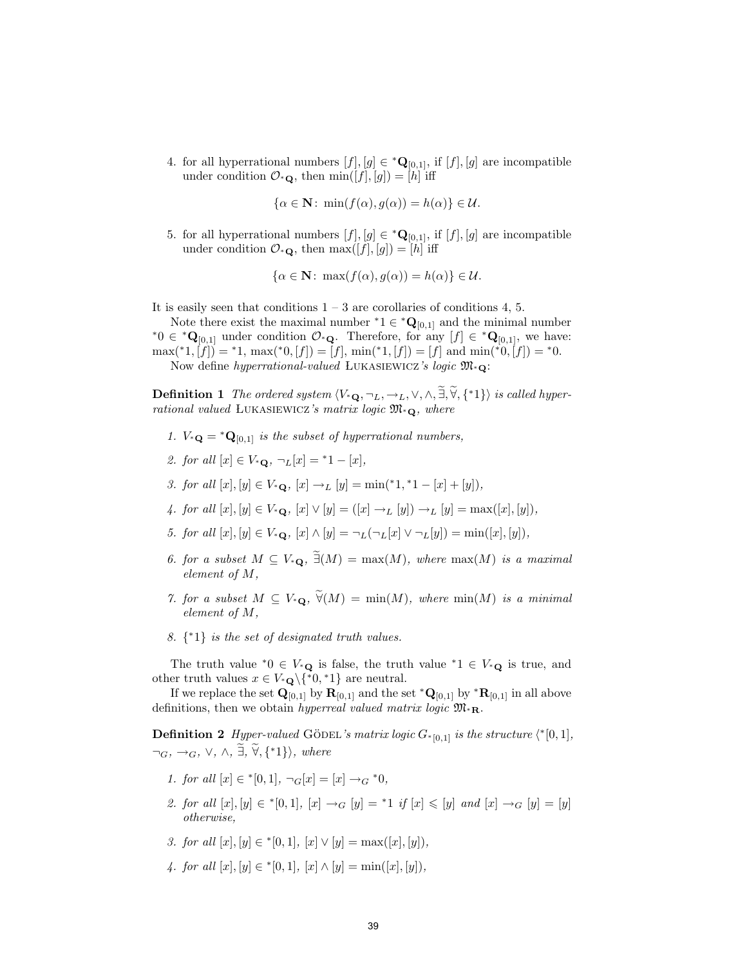4. for all hyperrational numbers  $[f], [g] \in {^*Q}_{[0,1]}$ , if  $[f], [g]$  are incompatible under condition  $\mathcal{O}_{\ast}\mathbf{Q}$ , then  $\min([f],[g]) = [h]$  iff

$$
\{\alpha \in \mathbf{N} \colon \min(f(\alpha), g(\alpha)) = h(\alpha)\} \in \mathcal{U}.
$$

5. for all hyperrational numbers  $[f], [g] \in {^*Q}_{[0,1]}$ , if  $[f], [g]$  are incompatible under condition  $\mathcal{O}_{\ast}\mathbf{Q}$ , then  $\max([f],[g]) = [h]$  iff

$$
\{\alpha \in \mathbf{N} \colon \max(f(\alpha), g(\alpha)) = h(\alpha)\} \in \mathcal{U}.
$$

It is easily seen that conditions  $1 - 3$  are corollaries of conditions 4, 5.

Note there exist the maximal number  ${}^*1 \in {}^*Q_{[0,1]}$  and the minimal number \*0 ∈ \* $\mathbf{Q}_{[0,1]}$  under condition  $\mathcal{O}_{\ast}\mathbf{Q}$ . Therefore, for any  $[f] \in {}^*\mathbf{Q}_{[0,1]}$ , we have:  $\max({}^*1,[f]) = {}^*1, \max({}^*0,[f]) = [f], \min({}^*1,[f]) = [f] \text{ and } \min({}^*0,[f]) = {}^*0.$ Now define hyperrational-valued Lukasiewicz's logic M<sup>∗</sup>Q:

**Definition 1** The ordered system  $\langle V_*\mathbf{Q}, \neg_L, \neg_L, \vee, \wedge, \tilde{\exists}, \tilde{\forall}, \{^*\} \rangle$  is called hyperrational valued LUKASIEWICZ's matrix logic  $\mathfrak{M}_{*\mathbf{Q}}$ , where

- 1.  $V_*\mathbf{Q} = * \mathbf{Q}_{[0,1]}$  is the subset of hyperrational numbers,
- 2. for all  $[x] \in V_{*Q}$ ,  $\neg_L[x] = {}^{*}1 [x]$ ,
- 3. for all  $[x], [y] \in V_*_{\mathbf{Q}}, [x] \to_L [y] = \min({^*1}, {^*1} [x] + [y]),$
- 4. for all  $[x], [y] \in V_{\ast \mathbf{Q}}, [x] \vee [y] = ([x] \rightarrow_L [y]) \rightarrow_L [y] = \max([x], [y]),$
- 5. for all  $[x], [y] \in V_{\ast}$ **o**,  $[x] \wedge [y] = \neg_L(\neg_L[x] \vee \neg_L[y]) = \min([x], [y]),$
- 6. for a subset  $M \subseteq V_*_{\mathbf{Q}}, \ \tilde{\exists}(M) = \max(M)$ , where  $\max(M)$  is a maximal element of M,
- 7. for a subset  $M \subseteq V_{*Q}$ ,  $\widetilde{\forall}(M) = \min(M)$ , where  $\min(M)$  is a minimal element of M,
- 8.  $\{ \cdot \}$  is the set of designated truth values.

The truth value \*0 ∈  $V_*$ **Q** is false, the truth value \*1 ∈  $V_*$ **Q** is true, and other truth values  $x \in V_*_{\mathbf{Q}} \backslash {\{*\mathbf{0},*\mathbf{1}\}}$  are neutral.

If we replace the set  $\mathbf{Q}_{[0,1]}$  by  $\mathbf{R}_{[0,1]}$  and the set  $^*\mathbf{Q}_{[0,1]}$  by  $^*\mathbf{R}_{[0,1]}$  in all above definitions, then we obtain hyperreal valued matrix logic  $\mathfrak{M}_{*R}$ .

**Definition 2** Hyper-valued GÖDEL's matrix logic  $G_{\text{*[0,1]}}$  is the structure  $\langle \text{*}[0,1],$  $\neg_G, \rightarrow_G, \vee, \wedge, \exists, \forall, {\dagger} \}$ , where

- 1. for all  $[x] \in {}^*[0,1], \neg_G[x] = [x] \rightarrow_G {}^*0$ ,
- 2. for all  $[x], [y] \in *[0,1], [x] \to_G [y] = *1$  if  $[x] \leq [y]$  and  $[x] \to_G [y] = [y]$ otherwise,
- 3. for all  $[x], [y] \in {}^*[0,1], [x] \vee [y] = \max([x], [y]),$
- 4. for all  $[x], [y] \in ^{*}[0,1], [x] \wedge [y] = \min([x], [y]),$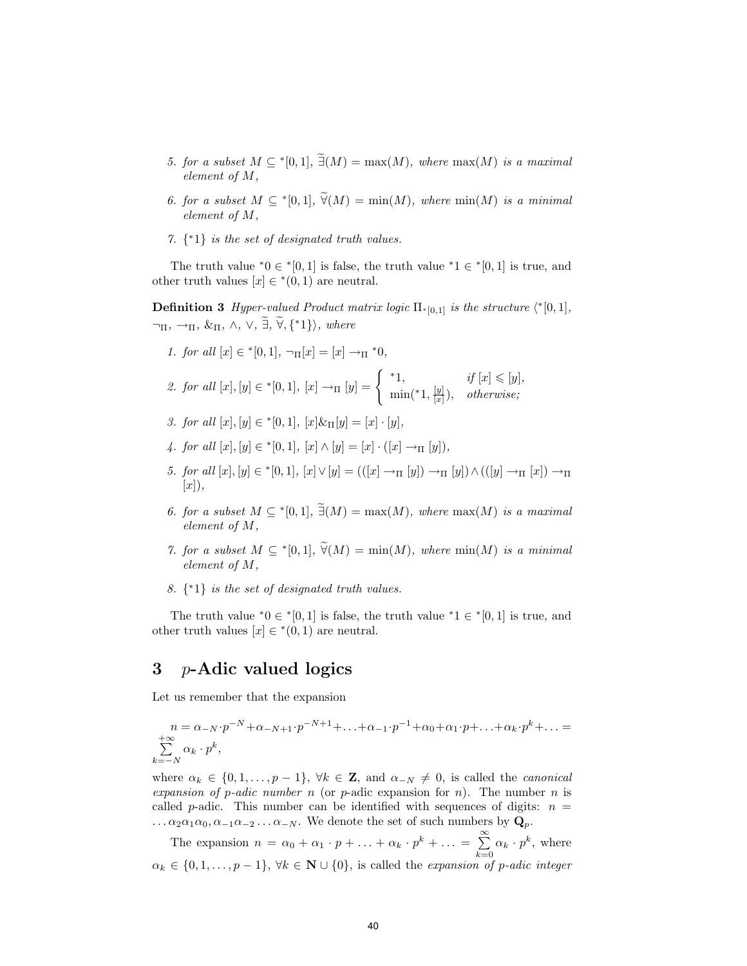- 5. for a subset  $M \subseteq {}^{*}[0,1], \exists (M) = \max(M),$  where  $\max(M)$  is a maximal element of M,
- 6. for a subset  $M \subseteq {}^{*}[0,1], \ \widetilde{\forall}(M) = \min(M),$  where  $\min(M)$  is a minimal element of M,
- 7. { <sup>∗</sup>1} is the set of designated truth values.

The truth value  $*0 \in \{0,1\}$  is false, the truth value  $*1 \in \{0,1\}$  is true, and other truth values  $[x] \in {}^*(0,1)$  are neutral.

**Definition 3** Hyper-valued Product matrix logic  $\Pi_{\infty}[0,1]$  is the structure  $\langle \infty^*[0,1],$  $\neg$ Π,  $\neg$ Π,  $\&$ Π,  $\land$ ,  $\lor$ ,  $\exists$ ,  $\widetilde{\forall}$ ,  $\{\ast 1\}$ , where

1. for all 
$$
[x] \in {}^*[0,1], \neg_{\Pi}[x] = [x] \rightarrow_{\Pi} {}^*0,
$$

2. for all 
$$
[x], [y] \in {}^{*}[0,1], [x] \to_{\Pi} [y] = \begin{cases} {}^{*}1, & if [x] \leq [y], \\ \min({}^{*}1, \frac{[y]}{[x]}), & otherwise; \end{cases}
$$

- 3. for all  $[x], [y] \in ^{\ast}[0,1], [x] \& \Pi[y] = [x] \cdot [y],$
- 4. for all  $[x], [y] \in ^*[0,1], [x] \wedge [y] = [x] \cdot ([x] \rightarrow_{\Pi} [y]),$
- 5. for all [x], [y] ∈ \*[0, 1], [x] ∨ [y] = (([x] →Π [y]) →Π [y]) ∧ (([y] →Π [x]) →Π  $[x]$ ,
- 6. for a subset  $M \subseteq {}^{*}[0,1], \exists (M) = \max(M),$  where  $\max(M)$  is a maximal element of M,
- 7. for a subset  $M \subseteq {}^{*}[0,1], \ \widetilde{\forall}(M) = \min(M),$  where  $\min(M)$  is a minimal element of M,
- 8.  $\{ \cdot \}$  is the set of designated truth values.

The truth value  $*0 \in \{0,1\}$  is false, the truth value  $*1 \in \{0,1\}$  is true, and other truth values  $[x] \in {}^*(0,1)$  are neutral.

#### 3 p-Adic valued logics

Let us remember that the expansion

$$
n = \alpha_{-N} \cdot p^{-N} + \alpha_{-N+1} \cdot p^{-N+1} + \ldots + \alpha_{-1} \cdot p^{-1} + \alpha_0 + \alpha_1 \cdot p + \ldots + \alpha_k \cdot p^k + \ldots = \sum_{k=-N}^{+\infty} \alpha_k \cdot p^k,
$$

where  $\alpha_k \in \{0, 1, \ldots, p-1\}, \forall k \in \mathbb{Z}, \text{ and } \alpha_{-N} \neq 0, \text{ is called the canonical }$ expansion of p-adic number n (or p-adic expansion for n). The number n is called p-adic. This number can be identified with sequences of digits:  $n =$  $\ldots \alpha_2 \alpha_1 \alpha_0, \alpha_{-1} \alpha_{-2} \ldots \alpha_{-N}$ . We denote the set of such numbers by  $\mathbf{Q}_p$ .

The expansion  $n = \alpha_0 + \alpha_1 \cdot p + \ldots + \alpha_k \cdot p^k + \ldots = \sum_{r=1}^{\infty}$  $\sum_{k=0} \alpha_k \cdot p^k$ , where  $\alpha_k \in \{0, 1, \ldots, p-1\}, \forall k \in \mathbb{N} \cup \{0\}, \text{ is called the expansion of } p\text{-adic integer}$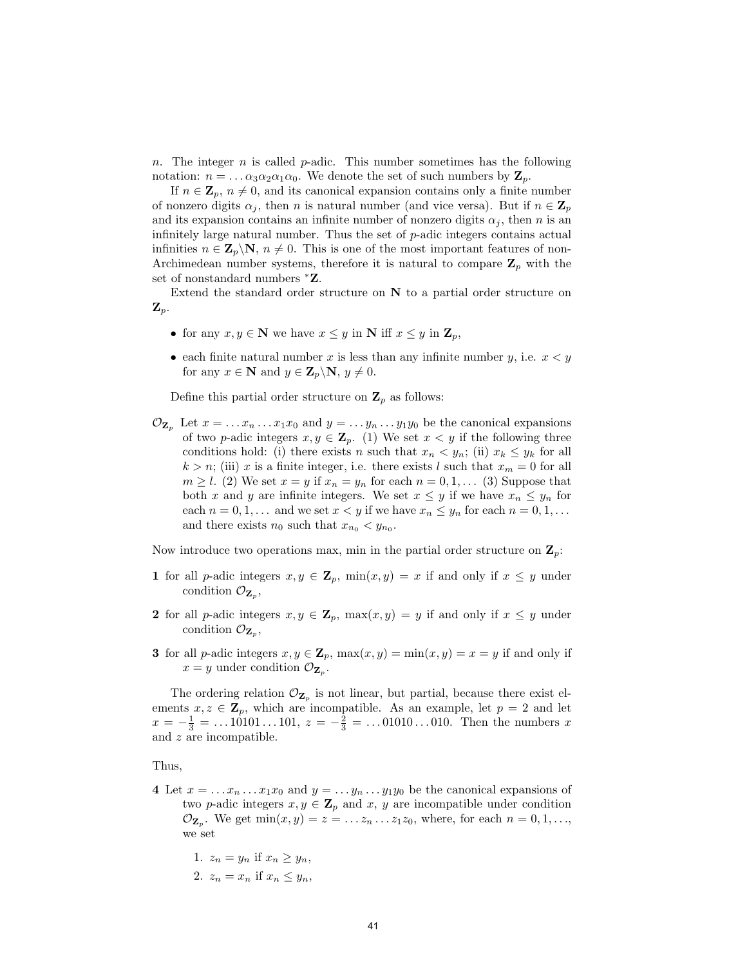n. The integer n is called  $p$ -adic. This number sometimes has the following notation:  $n = \dots \alpha_3 \alpha_2 \alpha_1 \alpha_0$ . We denote the set of such numbers by  $\mathbf{Z}_p$ .

If  $n \in \mathbb{Z}_p$ ,  $n \neq 0$ , and its canonical expansion contains only a finite number of nonzero digits  $\alpha_j$ , then n is natural number (and vice versa). But if  $n \in \mathbb{Z}_p$ and its expansion contains an infinite number of nonzero digits  $\alpha_j$ , then n is an infinitely large natural number. Thus the set of p-adic integers contains actual infinities  $n \in \mathbb{Z}_p \backslash \mathbb{N}, n \neq 0$ . This is one of the most important features of non-Archimedean number systems, therefore it is natural to compare  $\mathbf{Z}_p$  with the set of nonstandard numbers  ${}^*Z$ .

Extend the standard order structure on  $N$  to a partial order structure on  $\mathbf{Z}_p$ .

- for any  $x, y \in \mathbb{N}$  we have  $x \leq y$  in  $\mathbb{N}$  iff  $x \leq y$  in  $\mathbb{Z}_p$ ,
- each finite natural number x is less than any infinite number y, i.e.  $x < y$ for any  $x \in \mathbf{N}$  and  $y \in \mathbf{Z}_p \backslash \mathbf{N}, y \neq 0$ .

Define this partial order structure on  $\mathbf{Z}_p$  as follows:

 $\mathcal{O}_{\mathbf{Z}_n}$  Let  $x = \ldots x_n \ldots x_1 x_0$  and  $y = \ldots y_n \ldots y_1 y_0$  be the canonical expansions of two p-adic integers  $x, y \in \mathbb{Z}_p$ . (1) We set  $x < y$  if the following three conditions hold: (i) there exists n such that  $x_n < y_n$ ; (ii)  $x_k \leq y_k$  for all  $k > n$ ; (iii) x is a finite integer, i.e. there exists l such that  $x_m = 0$  for all  $m \geq l$ . (2) We set  $x = y$  if  $x_n = y_n$  for each  $n = 0, 1, \ldots$  (3) Suppose that both x and y are infinite integers. We set  $x \leq y$  if we have  $x_n \leq y_n$  for each  $n = 0, 1, \ldots$  and we set  $x < y$  if we have  $x_n \leq y_n$  for each  $n = 0, 1, \ldots$ and there exists  $n_0$  such that  $x_{n_0} < y_{n_0}$ .

Now introduce two operations max, min in the partial order structure on  $\mathbf{Z}_p$ :

- 1 for all p-adic integers  $x, y \in \mathbb{Z}_p$ ,  $\min(x, y) = x$  if and only if  $x \leq y$  under condition  $\mathcal{O}_{\mathbf{Z}_p}$ ,
- 2 for all p-adic integers  $x, y \in \mathbb{Z}_p$ ,  $\max(x, y) = y$  if and only if  $x \leq y$  under condition  $\mathcal{O}_{\mathbf{Z}_p}$ ,
- 3 for all p-adic integers  $x, y \in \mathbb{Z}_p$ ,  $\max(x, y) = \min(x, y) = x = y$  if and only if  $x = y$  under condition  $\mathcal{O}_{\mathbf{Z}_p}$ .

The ordering relation  $\mathcal{O}_{\mathbf{Z}_p}$  is not linear, but partial, because there exist elements  $x, z \in \mathbf{Z}_p$ , which are incompatible. As an example, let  $p = 2$  and let  $x = -\frac{1}{3} = ...10101...101, z = -\frac{2}{3} = ...01010...010.$  Then the numbers x and z are incompatible.

Thus,

- 4 Let  $x = \ldots x_n \ldots x_1 x_0$  and  $y = \ldots y_n \ldots y_1 y_0$  be the canonical expansions of two p-adic integers  $x, y \in \mathbb{Z}_p$  and  $x, y$  are incompatible under condition  $\mathcal{O}_{\mathbf{Z}_p}$ . We get  $\min(x, y) = z = \dots z_n \dots z_1 z_0$ , where, for each  $n = 0, 1, \dots$ , we set
	- 1.  $z_n = y_n$  if  $x_n \ge y_n$ ,
	- 2.  $z_n = x_n$  if  $x_n \leq y_n$ ,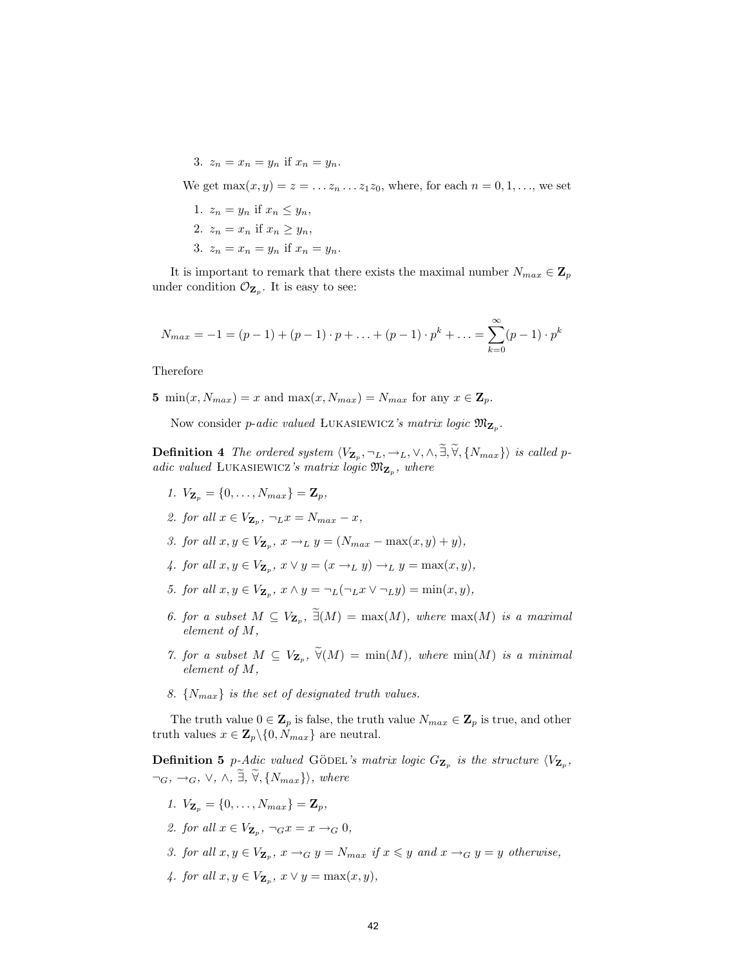3.  $z_n = x_n = y_n$  if  $x_n = y_n$ .

We get  $\max(x, y) = z = ... z_n ... z_1 z_0$ , where, for each  $n = 0, 1, ...$ , we set

1.  $z_n = y_n$  if  $x_n \leq y_n$ , 2.  $z_n = x_n$  if  $x_n \geq y_n$ , 3.  $z_n = x_n = y_n$  if  $x_n = y_n$ .

It is important to remark that there exists the maximal number  $N_{max} \in \mathbf{Z}_p$ under condition  $\mathcal{O}_{\mathbf{Z}_p}$ . It is easy to see:

$$
N_{max} = -1 = (p-1) + (p-1) \cdot p + \ldots + (p-1) \cdot p^{k} + \ldots = \sum_{k=0}^{\infty} (p-1) \cdot p^{k}
$$

Therefore

5 min $(x, N_{max}) = x$  and max $(x, N_{max}) = N_{max}$  for any  $x \in \mathbf{Z}_p$ .

Now consider *p-adic valued* LUKASIEWICZ's matrix logic  $\mathfrak{M}_{\mathbf{Z}_p}$ .

**Definition 4** The ordered system  $\langle V_{\mathbf{Z}_p}, \neg_L, \neg_L, \vee, \wedge, \exists, \forall, \{N_{max}\}\rangle$  is called padic valued LUKASIEWICZ's matrix logic  $\mathfrak{M}_{\mathbf{Z}_p}$ , where

- 1.  $V_{\mathbf{Z}_p} = \{0, \ldots, N_{max}\} = \mathbf{Z}_p$ ,
- 2. for all  $x \in V_{\mathbf{Z}_p}$ ,  $\neg_L x = N_{max} x$ ,
- 3. for all  $x, y \in V_{\mathbf{Z}_p}$ ,  $x \to_L y = (N_{max} \max(x, y) + y)$ ,
- 4. for all  $x, y \in V_{\mathbf{Z}_p}$ ,  $x \vee y = (x \rightarrow_L y) \rightarrow_L y = \max(x, y)$ ,
- 5. for all  $x, y \in V_{\mathbf{Z}_p}$ ,  $x \wedge y = \neg_L(\neg_L x \vee \neg_L y) = \min(x, y)$ ,
- 6. for a subset  $M \subseteq V_{\mathbf{Z}_p}$ ,  $\exists (M) = \max(M)$ , where  $\max(M)$  is a maximal element of M,
- 7. for a subset  $M \subseteq V_{\mathbf{Z}_p}$ ,  $\forall (M) = \min(M)$ , where  $\min(M)$  is a minimal element of M,
- 8.  $\{N_{max}\}\$ is the set of designated truth values.

The truth value  $0 \in \mathbb{Z}_p$  is false, the truth value  $N_{max} \in \mathbb{Z}_p$  is true, and other truth values  $x \in \mathbf{Z}_p \backslash \{0, N_{max}\}\$ are neutral.

**Definition 5** p-Adic valued GÖDEL's matrix logic  $G_{\mathbf{Z}_p}$  is the structure  $\langle V_{\mathbf{Z}_p}, \rangle$  $\neg_G, \neg_G, \vee, \wedge, \tilde{\exists}, \tilde{\forall}, \{N_{max}\}\rangle$ , where

- 1.  $V_{\mathbf{Z}_p} = \{0, \ldots, N_{max}\} = \mathbf{Z}_p$ ,
- 2. for all  $x \in V_{\mathbf{Z}_p}$ ,  $\neg_G x = x \rightarrow_G 0$ ,
- 3. for all  $x, y \in V_{\mathbf{Z}_p}$ ,  $x \to_G y = N_{max}$  if  $x \leq y$  and  $x \to_G y = y$  otherwise,
- 4. for all  $x, y \in V_{\mathbf{Z}_p}$ ,  $x \vee y = \max(x, y)$ ,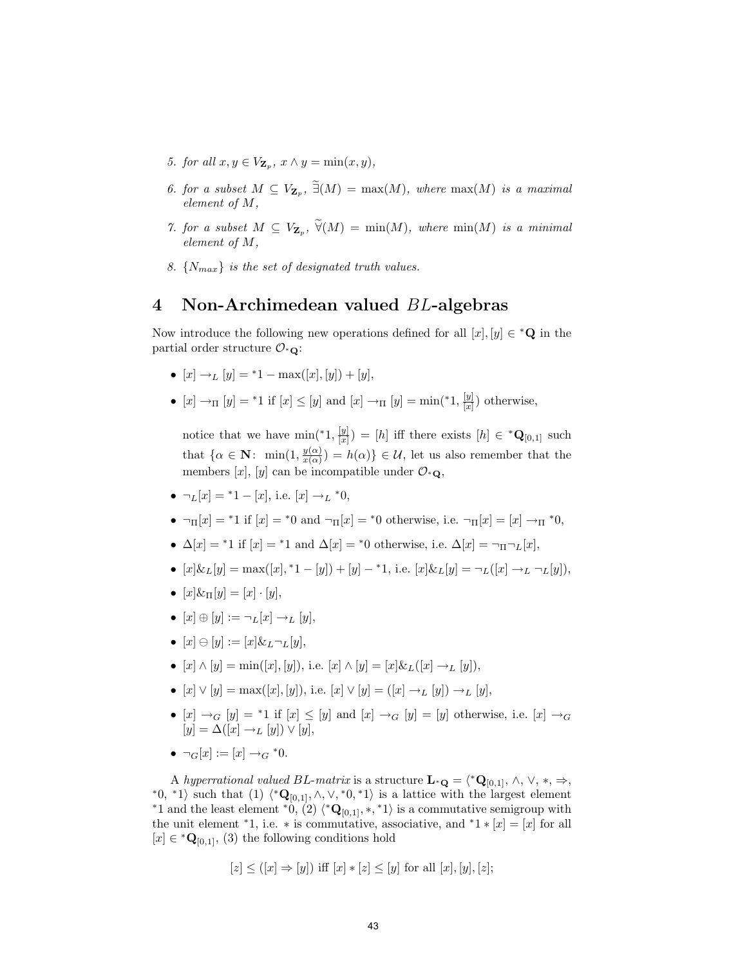- 5. for all  $x, y \in V_{\mathbf{Z}_p}$ ,  $x \wedge y = \min(x, y)$ ,
- 6. for a subset  $M \subseteq V_{\mathbf{Z}_p}$ ,  $\exists (M) = \max(M)$ , where  $\max(M)$  is a maximal element of M,
- 7. for a subset  $M \subseteq V_{\mathbf{Z}_p}$ ,  $\forall (M) = \min(M)$ , where  $\min(M)$  is a minimal element of M,
- 8.  $\{N_{max}\}\$ is the set of designated truth values.

#### 4 Non-Archimedean valued BL-algebras

Now introduce the following new operations defined for all  $[x], [y] \in {^*Q}$  in the partial order structure  $\mathcal{O}_{\ast}$ .

- $[x] \rightarrow_L [y] = {}^*1 \max([x], [y]) + [y],$
- $[x] \rightarrow_{\Pi} [y] = ^{*}1$  if  $[x] \leq [y]$  and  $[x] \rightarrow_{\Pi} [y] = \min({}^{*}1, \frac{[y]}{[x]}]$  $\frac{y_1}{[x]}$ ) otherwise,

notice that we have  $\min({}^*1, \frac{y}{[x]})$  $\left[\frac{|y|}{|x|}\right) = [h]$  iff there exists  $[h] \in {^*Q}_{[0,1]}$  such that  $\{\alpha \in \mathbf{N}: \min(1, \frac{y(\alpha)}{x(\alpha)})\}$  $\frac{y(\alpha)}{x(\alpha)}$  =  $h(\alpha)$ }  $\in \mathcal{U}$ , let us also remember that the members [x], [y] can be incompatible under  $\mathcal{O}_{\ast}\mathbf{Q}$ ,

- $\neg_L[x] = 1 [x],$  i.e.  $[x] \rightarrow_L *0,$
- $\neg_{\Pi}[x] = *1$  if  $[x] = *0$  and  $\neg_{\Pi}[x] = *0$  otherwise, i.e.  $\neg_{\Pi}[x] = [x] \rightarrow_{\Pi} *0$ ,
- $\Delta[x] =$ \*1 if  $[x] =$ \*1 and  $\Delta[x] =$ \*0 otherwise, i.e.  $\Delta[x] = \neg_{\Pi} \neg_L[x]$ ,
- $[x]\& L[y] = \max([x], \, ^*1 [y]) + [y] ^*1$ , i.e.  $[x]\& L[y] = \neg_L([x] \rightarrow_L \neg_L[y])$ ,
- $[x] \& \pi[y] = [x] \cdot [y],$
- $[x] \oplus [y] := \neg_L[x] \rightarrow_L [y],$
- $[x] \ominus [y] := [x] \& L \neg_L[y],$
- $[x] \wedge [y] = \min([x], [y]),$  i.e.  $[x] \wedge [y] = [x] \& L([x] \rightarrow L [y]).$
- $[x] \vee [y] = \max([x], [y]),$  i.e.  $[x] \vee [y] = ([x] \rightarrow_L [y]) \rightarrow_L [y],$
- $[x] \rightarrow_G [y] = *1$  if  $[x] \leq [y]$  and  $[x] \rightarrow_G [y] = [y]$  otherwise, i.e.  $[x] \rightarrow_G$  $[y] = \Delta([x] \rightarrow_L [y]) \vee [y],$
- $\neg_G[x] := [x] \to_G *0.$

A hyperrational valued BL-matrix is a structure  $\mathbf{L} \cdot \mathbf{Q} = \langle ^* \mathbf{Q}_{[0,1]}, \wedge, \vee, *, \Rightarrow, \rangle$ \*0, \*1) such that (1)  $\langle \mathbf{Q}_{[0,1]}, \wedge, \vee, \mathbf{Q}_{[0,1]}, \wedge \rangle$  is a lattice with the largest element \*1 and the least element \*0,  $(2)$   $\langle ^*{\bf Q}_{[0,1]}, *, *1 \rangle$  is a commutative semigroup with the unit element \*1, i.e. \* is commutative, associative, and \*1 \*  $[x] = [x]$  for all  $[x] \in {^*Q}_{[0,1]}$ , (3) the following conditions hold

$$
[z] \leq ([x] \Rightarrow [y])
$$
 iff  $[x] * [z] \leq [y]$  for all  $[x], [y], [z]$ ;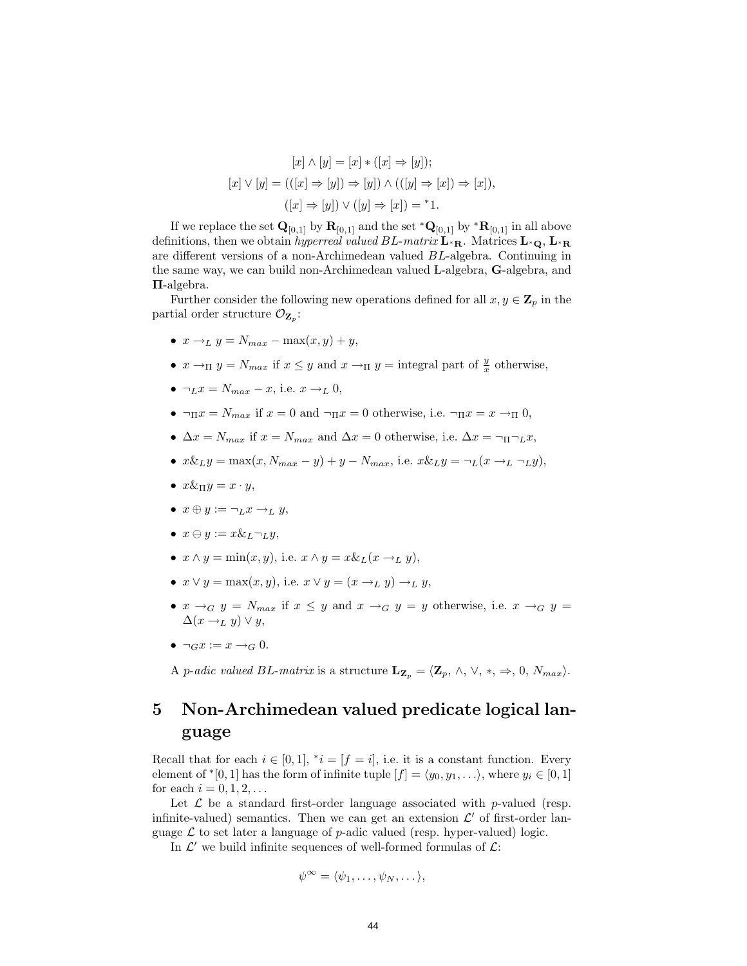$$
[x] \wedge [y] = [x] * ([x] \Rightarrow [y]);
$$

$$
[x] \vee [y] = (((x] \Rightarrow [y]) \Rightarrow [y]) \wedge (([y] \Rightarrow [x]) \Rightarrow [x]),
$$

$$
([x] \Rightarrow [y]) \vee ([y] \Rightarrow [x]) = *1.
$$

If we replace the set  $\mathbf{Q}_{[0,1]}$  by  $\mathbf{R}_{[0,1]}$  and the set  $^*\mathbf{Q}_{[0,1]}$  by  $^*\mathbf{R}_{[0,1]}$  in all above definitions, then we obtain hyperreal valued BL-matrix  $\mathbf{L}_{^*}\mathbf{R}$ . Matrices  $\mathbf{L}_{^*}\mathbf{Q}$ ,  $\mathbf{L}_{^*}\mathbf{R}$ are different versions of a non-Archimedean valued BL-algebra. Continuing in the same way, we can build non-Archimedean valued L-algebra, G-algebra, and Π-algebra.

Further consider the following new operations defined for all  $x, y \in \mathbb{Z}_p$  in the partial order structure  $\mathcal{O}_{\mathbf{Z}_p}$ :

- $x \rightarrow_L y = N_{max} \max(x, y) + y$ ,
- $x \to_{\Pi} y = N_{max}$  if  $x \leq y$  and  $x \to_{\Pi} y =$  integral part of  $\frac{y}{x}$  otherwise,
- $\neg_L x = N_{max} x$ , i.e.  $x \rightarrow_L 0$ ,
- $\neg_{\Pi} x = N_{max}$  if  $x = 0$  and  $\neg_{\Pi} x = 0$  otherwise, i.e.  $\neg_{\Pi} x = x \rightarrow_{\Pi} 0$ ,
- $\Delta x = N_{max}$  if  $x = N_{max}$  and  $\Delta x = 0$  otherwise, i.e.  $\Delta x = \neg_{\Pi} \neg_{\text{L}} x$ ,
- $x \& Ly = \max(x, N_{max} y) + y N_{max}$ , i.e.  $x \& Ly = \neg_L(x \rightarrow_L \neg_L y)$ ,
- $x\&\pi y = x \cdot y$ ,
- $x \oplus y := \neg_L x \rightarrow_L y$ ,
- $x \ominus y := x \& \iota \neg \iota y$ ,
- $x \wedge y = \min(x, y)$ , i.e.  $x \wedge y = x \& L(x \rightarrow_L y)$ ,
- $x \vee y = \max(x, y)$ , i.e.  $x \vee y = (x \rightarrow_L y) \rightarrow_L y$ ,
- $x \rightarrow_G y = N_{max}$  if  $x \leq y$  and  $x \rightarrow_G y = y$  otherwise, i.e.  $x \rightarrow_G y =$  $\Delta(x \rightarrow_L y) \vee y$ ,
- $\neg_G x := x \rightarrow_G 0$ .

A p-adic valued BL-matrix is a structure  $\mathbf{L}_{\mathbf{Z}_p} = \langle \mathbf{Z}_p, \wedge, \vee, *, \Rightarrow, 0, N_{max} \rangle$ .

## 5 Non-Archimedean valued predicate logical language

Recall that for each  $i \in [0,1]$ ,  $i = [f = i]$ , i.e. it is a constant function. Every element of  $\mathbf{f}$  [0, 1] has the form of infinite tuple  $[f] = \langle y_0, y_1, \ldots \rangle$ , where  $y_i \in [0, 1]$ for each  $i = 0, 1, 2, ...$ 

Let  $\mathcal L$  be a standard first-order language associated with p-valued (resp. infinite-valued) semantics. Then we can get an extension  $\mathcal{L}'$  of first-order language  $\mathcal L$  to set later a language of p-adic valued (resp. hyper-valued) logic.

In  $\mathcal{L}'$  we build infinite sequences of well-formed formulas of  $\mathcal{L}$ :

$$
\psi^{\infty} = \langle \psi_1, \dots, \psi_N, \dots \rangle,
$$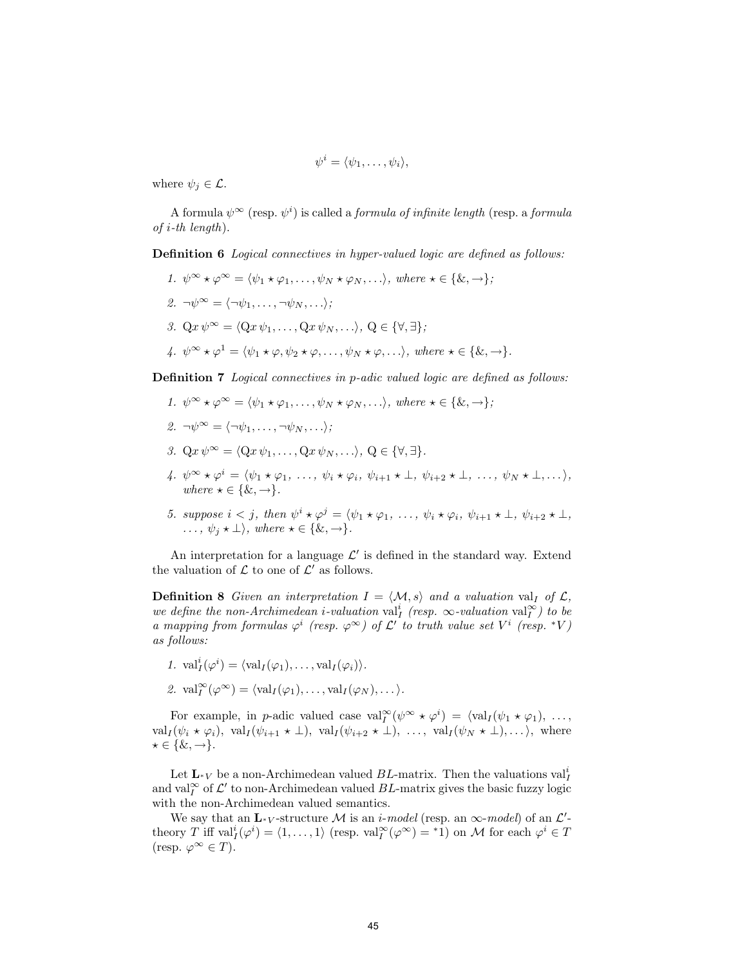$$
\psi^i = \langle \psi_1, \dots, \psi_i \rangle,
$$

where  $\psi_i \in \mathcal{L}$ .

A formula  $\psi^{\infty}$  (resp.  $\psi^i$ ) is called a *formula of infinite length* (resp. a *formula*  $of$  *i*-th length).

Definition 6 Logical connectives in hyper-valued logic are defined as follows:

1.  $\psi^{\infty} \star \varphi^{\infty} = \langle \psi_1 \star \varphi_1, \ldots, \psi_N \star \varphi_N, \ldots \rangle$ , where  $\star \in \{ \&, \to \}$ ; 2.  $\neg \psi^{\infty} = \langle \neg \psi_1, \dots, \neg \psi_N, \dots \rangle;$ 3. Qx  $\psi^{\infty} = \langle Qx \psi_1, \ldots, Qx \psi_N, \ldots \rangle, Q \in {\forall, \exists}$ ; 4.  $\psi^{\infty} \star \varphi^1 = \langle \psi_1 \star \varphi, \psi_2 \star \varphi, \ldots, \psi_N \star \varphi, \ldots \rangle$ , where  $\star \in \{ \&, \to \}$ .

Definition 7 Logical connectives in p-adic valued logic are defined as follows:

- 1.  $\psi^{\infty} \star \varphi^{\infty} = \langle \psi_1 \star \varphi_1, \ldots, \psi_N \star \varphi_N, \ldots \rangle$ , where  $\star \in \{ \&, \to \}$ ;
- 2.  $\neg \psi^{\infty} = \langle \neg \psi_1, \dots, \neg \psi_N, \dots \rangle;$
- 3.  $Qx \psi^{\infty} = \langle Qx \psi_1, \ldots, Qx \psi_N, \ldots \rangle, Q \in \{\forall, \exists\}.$
- 4.  $\psi^{\infty} \star \varphi^i = \langle \psi_1 \star \varphi_1, \ldots, \psi_i \star \varphi_i, \psi_{i+1} \star \bot, \psi_{i+2} \star \bot, \ldots, \psi_N \star \bot, \ldots \rangle$ where  $\star \in \{ \& , \rightarrow \}.$
- 5. suppose  $i < j$ , then  $\psi^i \star \varphi^j = \langle \psi_1 \star \varphi_1, \ldots, \psi_i \star \varphi_i, \psi_{i+1} \star \bot, \psi_{i+2} \star \bot$ ,  $\ldots, \psi_i \star \perp$ , where  $\star \in \{ \&, \rightarrow \}.$

An interpretation for a language  $\mathcal{L}'$  is defined in the standard way. Extend the valuation of  $\mathcal L$  to one of  $\mathcal L'$  as follows.

**Definition 8** Given an interpretation  $I = \langle M, s \rangle$  and a valuation val<sub>I</sub> of  $\mathcal{L}$ , we define the non-Archimedean *i*-valuation val<sup>i</sup><sub>I</sub> (resp.  $\infty$ -valuation val<sub>I</sub><sup> $\infty$ </sup>) to be a mapping from formulas  $\varphi^i$  (resp.  $\varphi^{\infty}$ ) of  $\mathcal{L}'$  to truth value set  $V^i$  (resp. \*V) as follows:

1.  $\operatorname{val}_I^i(\varphi^i) = \langle \operatorname{val}_I(\varphi_1), \ldots, \operatorname{val}_I(\varphi_i) \rangle.$ 2.  $\operatorname{val}_I^{\infty}(\varphi^{\infty}) = \langle \operatorname{val}_I(\varphi_1), \ldots, \operatorname{val}_I(\varphi_N), \ldots \rangle.$ 

For example, in p-adic valued case  $\text{val}_I^{\infty}(\psi^{\infty} \star \varphi^i) = \langle \text{val}_I(\psi_1 \star \varphi_1), \ldots, \psi_n \rangle$  $\operatorname{val}_I(\psi_i \star \varphi_i), \ \operatorname{val}_I(\psi_{i+1} \star \bot), \ \operatorname{val}_I(\psi_{i+2} \star \bot), \ \ldots, \ \operatorname{val}_I(\psi_N \star \bot), \ldots$ , where  $\star \in \{ \&, \rightarrow \}.$ 

Let  $\mathbf{L}_{^*V}$  be a non-Archimedean valued  $BL$ -matrix. Then the valuations val<sup>i</sup> and val<sub>I</sub><sup>∞</sup> of  $\mathcal{L}'$  to non-Archimedean valued BL-matrix gives the basic fuzzy logic with the non-Archimedean valued semantics.

We say that an  $\mathbf{L}_{\ast}$  v-structure M is an *i-model* (resp. an  $\infty$ -model) of an  $\mathcal{L}'$ theory T iff  $\text{val}_I^i(\varphi^i) = \langle 1, \ldots, 1 \rangle$  (resp.  $\text{val}_I^{\infty}(\varphi^{\infty}) = 1$ ) on M for each  $\varphi^i \in T$ (resp.  $\varphi^{\infty} \in T$ ).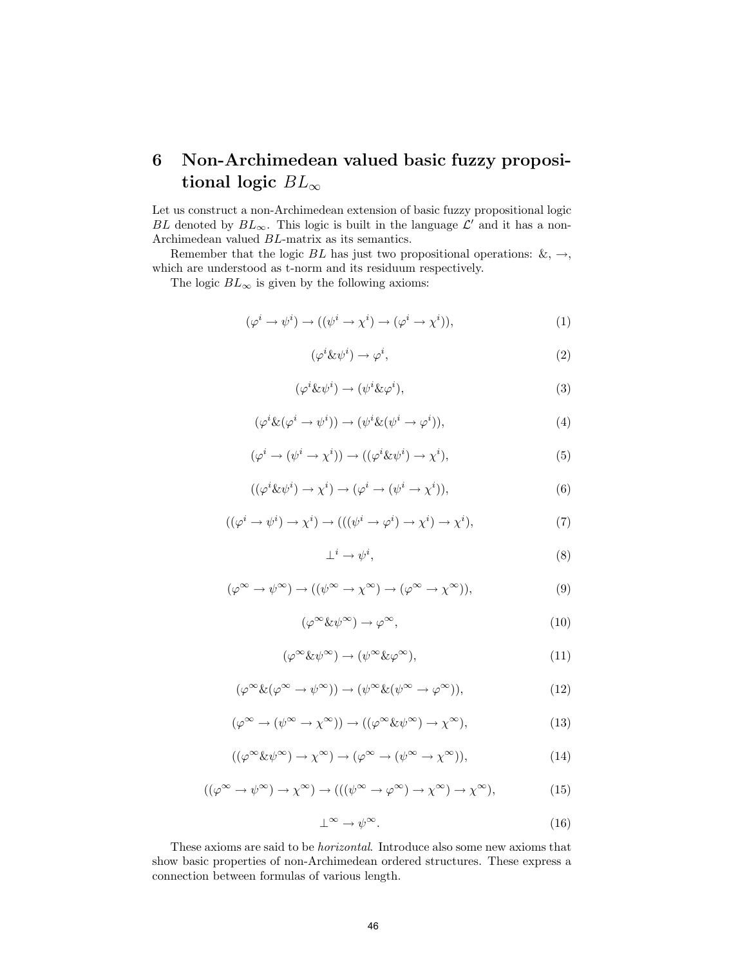## 6 Non-Archimedean valued basic fuzzy propositional logic  $BL_{\infty}$

Let us construct a non-Archimedean extension of basic fuzzy propositional logic BL denoted by  $BL_{\infty}$ . This logic is built in the language  $\mathcal{L}'$  and it has a non-Archimedean valued BL-matrix as its semantics.

Remember that the logic BL has just two propositional operations:  $\&, \rightarrow,$ which are understood as t-norm and its residuum respectively.

The logic  $BL_{\infty}$  is given by the following axioms:

$$
(\varphi^i \to \psi^i) \to ((\psi^i \to \chi^i) \to (\varphi^i \to \chi^i)), \tag{1}
$$

$$
(\varphi^i \& \psi^i) \to \varphi^i,\tag{2}
$$

$$
(\varphi^i \& \psi^i) \to (\psi^i \& \varphi^i), \tag{3}
$$

$$
(\varphi^i \& (\varphi^i \to \psi^i)) \to (\psi^i \& (\psi^i \to \varphi^i)), \tag{4}
$$

$$
(\varphi^i \to (\psi^i \to \chi^i)) \to ((\varphi^i \& \psi^i) \to \chi^i), \tag{5}
$$

$$
((\varphi^i \& \psi^i) \to \chi^i) \to (\varphi^i \to (\psi^i \to \chi^i)), \tag{6}
$$

$$
((\varphi^i \to \psi^i) \to \chi^i) \to (((\psi^i \to \varphi^i) \to \chi^i) \to \chi^i), \tag{7}
$$

$$
\perp^i \to \psi^i,\tag{8}
$$

$$
(\varphi^{\infty} \to \psi^{\infty}) \to ((\psi^{\infty} \to \chi^{\infty}) \to (\varphi^{\infty} \to \chi^{\infty})), \tag{9}
$$

$$
(\varphi^{\infty} \& \psi^{\infty}) \to \varphi^{\infty}, \tag{10}
$$

$$
(\varphi^{\infty} \& \psi^{\infty}) \to (\psi^{\infty} \& \varphi^{\infty}), \tag{11}
$$

$$
(\varphi^{\infty} \& (\varphi^{\infty} \to \psi^{\infty})) \to (\psi^{\infty} \& (\psi^{\infty} \to \varphi^{\infty})), \tag{12}
$$

$$
(\varphi^{\infty} \to (\psi^{\infty} \to \chi^{\infty})) \to ((\varphi^{\infty} \& \psi^{\infty}) \to \chi^{\infty}), \tag{13}
$$

$$
((\varphi^{\infty} \& \psi^{\infty}) \to \chi^{\infty}) \to (\varphi^{\infty} \to (\psi^{\infty} \to \chi^{\infty})), \tag{14}
$$

$$
((\varphi^{\infty} \to \psi^{\infty}) \to \chi^{\infty}) \to (((\psi^{\infty} \to \varphi^{\infty}) \to \chi^{\infty}) \to \chi^{\infty}), \tag{15}
$$

$$
\perp^{\infty} \to \psi^{\infty}.
$$
 (16)

These axioms are said to be horizontal. Introduce also some new axioms that show basic properties of non-Archimedean ordered structures. These express a connection between formulas of various length.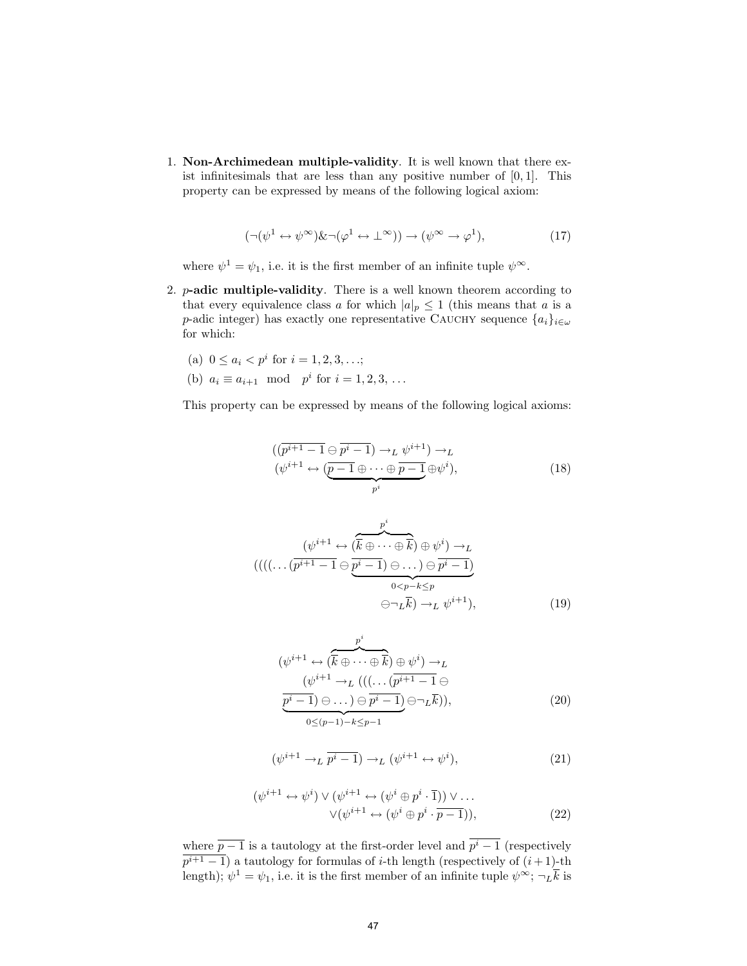1. Non-Archimedean multiple-validity. It is well known that there exist infinitesimals that are less than any positive number of  $[0, 1]$ . This property can be expressed by means of the following logical axiom:

$$
(\neg(\psi^1 \leftrightarrow \psi^{\infty}) \& \neg(\varphi^1 \leftrightarrow \bot^{\infty})) \rightarrow (\psi^{\infty} \rightarrow \varphi^1), \tag{17}
$$

where  $\psi^1 = \psi_1$ , i.e. it is the first member of an infinite tuple  $\psi^{\infty}$ .

- 2.  $p$ -adic multiple-validity. There is a well known theorem according to that every equivalence class a for which  $|a|_p \leq 1$  (this means that a is a p-adic integer) has exactly one representative CAUCHY sequence  $\{a_i\}_{i\in\omega}$ for which:
	- (a)  $0 \leq a_i < p^i$  for  $i = 1, 2, 3, \ldots;$
	- (b)  $a_i \equiv a_{i+1} \mod p^i$  for  $i = 1, 2, 3, ...$

This property can be expressed by means of the following logical axioms:

$$
((\overline{p^{i+1} - 1} \ominus \overline{p^{i} - 1}) \to_L \psi^{i+1}) \to_L (\psi^{i+1} \leftrightarrow (\overline{p-1} \oplus \cdots \oplus \overline{p-1} \oplus \psi^{i}), \overline{p^{i}})
$$
(18)

$$
(\langle (\langle \dots (p^{i+1} \to \overbrace{(\overline{k} \oplus \dots \oplus \overline{k}) \oplus \psi^{i}}^{p^{i}}) \to L \rangle
$$
  

$$
((\langle \dots (p^{i+1} - 1 \oplus \overbrace{p^{i} - 1}) \oplus \dots) \oplus \overbrace{p^{i} - 1}^{p^{i} - 1})
$$
  

$$
\oplus \neg_{L} \overline{k}) \to L \psi^{i+1}),
$$
 (19)

$$
(\psi^{i+1} \leftrightarrow (\overline{k} \oplus \cdots \oplus \overline{k}) \oplus \psi^i) \to_L
$$
  
\n
$$
(\psi^{i+1} \to_L ((\dots (\overline{p^{i+1} - 1} \oplus \overline{p^i - 1}) \oplus \cdots) \oplus \overline{p^i - 1}) \oplus \neg_L \overline{k})),
$$
  
\n
$$
\overline{0 \leq (p-1) - k \leq p-1}
$$
 (20)

$$
(\psi^{i+1} \to_L \overline{p^i - 1}) \to_L (\psi^{i+1} \leftrightarrow \psi^i), \tag{21}
$$

$$
(\psi^{i+1} \leftrightarrow \psi^i) \lor (\psi^{i+1} \leftrightarrow (\psi^i \oplus p^i \cdot \overline{1})) \lor \dots
$$

$$
\lor (\psi^{i+1} \leftrightarrow (\psi^i \oplus p^i \cdot \overline{p-1})),
$$
(22)

where  $\overline{p-1}$  is a tautology at the first-order level and  $p^{i}-1$  (respectively  $p^{i+1} - 1$ ) a tautology for formulas of *i*-th length (respectively of  $(i + 1)$ -th length);  $\psi^1 = \psi_1$ , i.e. it is the first member of an infinite tuple  $\psi^{\infty}$ ;  $\neg_L \overline{k}$  is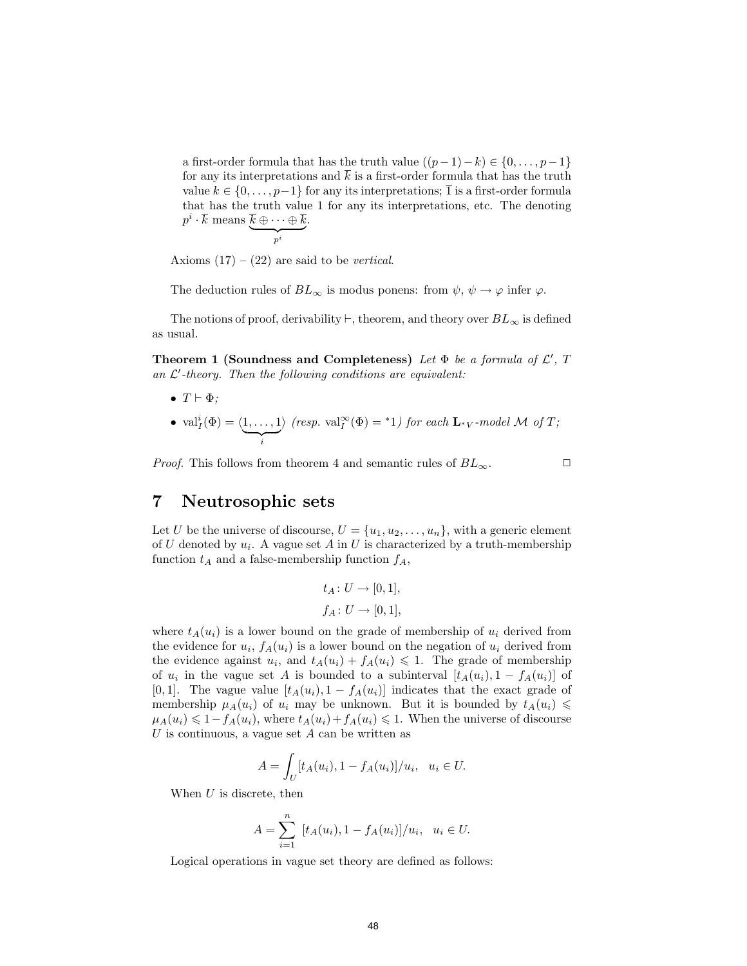a first-order formula that has the truth value  $((p-1)-k) \in \{0, \ldots, p-1\}$ for any its interpretations and  $\overline{k}$  is a first-order formula that has the truth value  $k \in \{0, \ldots, p-1\}$  for any its interpretations;  $\overline{1}$  is a first-order formula that has the truth value 1 for any its interpretations, etc. The denoting  $p^i\cdot \overline{k} \text{ means } \overline{k} \oplus \cdots \oplus \overline{k}$  $\overbrace{p^i}$ .

Axioms  $(17) - (22)$  are said to be *vertical*.

The deduction rules of  $BL_{\infty}$  is modus ponens: from  $\psi$ ,  $\psi \to \varphi$  infer  $\varphi$ .

The notions of proof, derivability  $\vdash$ , theorem, and theory over  $BL_{\infty}$  is defined as usual.

Theorem 1 (Soundness and Completeness) Let  $\Phi$  be a formula of  $\mathcal{L}'$ , T an  $\mathcal{L}'$ -theory. Then the following conditions are equivalent:

- $T \vdash \Phi$ ;
- $\operatorname{val}_I^i(\Phi) = \langle 1, \ldots, 1 \rangle$  $\overline{\phantom{a}i}$  $\langle \text{resp. val}^{\infty}_I(\Phi) = {}^*1 \rangle \text{ for each } L_{*V} \text{-model } \mathcal{M} \text{ of } T;$

*Proof.* This follows from theorem 4 and semantic rules of  $BL_{\infty}$ .

#### 7 Neutrosophic sets

Let U be the universe of discourse,  $U = \{u_1, u_2, \ldots, u_n\}$ , with a generic element of U denoted by  $u_i$ . A vague set A in U is characterized by a truth-membership function  $t_A$  and a false-membership function  $f_A$ ,

$$
t_A \colon U \to [0, 1],
$$
  

$$
f_A \colon U \to [0, 1],
$$

where  $t_A(u_i)$  is a lower bound on the grade of membership of  $u_i$  derived from the evidence for  $u_i$ ,  $f_A(u_i)$  is a lower bound on the negation of  $u_i$  derived from the evidence against  $u_i$ , and  $t_A(u_i) + f_A(u_i) \leq 1$ . The grade of membership of  $u_i$  in the vague set A is bounded to a subinterval  $[t_A(u_i), 1 - f_A(u_i)]$  of [0,1]. The vague value  $[t_A(u_i), 1 - f_A(u_i)]$  indicates that the exact grade of membership  $\mu_A(u_i)$  of  $u_i$  may be unknown. But it is bounded by  $t_A(u_i) \leq$  $\mu_A(u_i) \leq 1 - f_A(u_i)$ , where  $t_A(u_i) + f_A(u_i) \leq 1$ . When the universe of discourse U is continuous, a vague set  $A$  can be written as

$$
A = \int_U [t_A(u_i), 1 - f_A(u_i)]/u_i, \ \ u_i \in U.
$$

When  $U$  is discrete, then

$$
A = \sum_{i=1}^{n} [t_A(u_i), 1 - f_A(u_i)]/u_i, \ u_i \in U.
$$

Logical operations in vague set theory are defined as follows: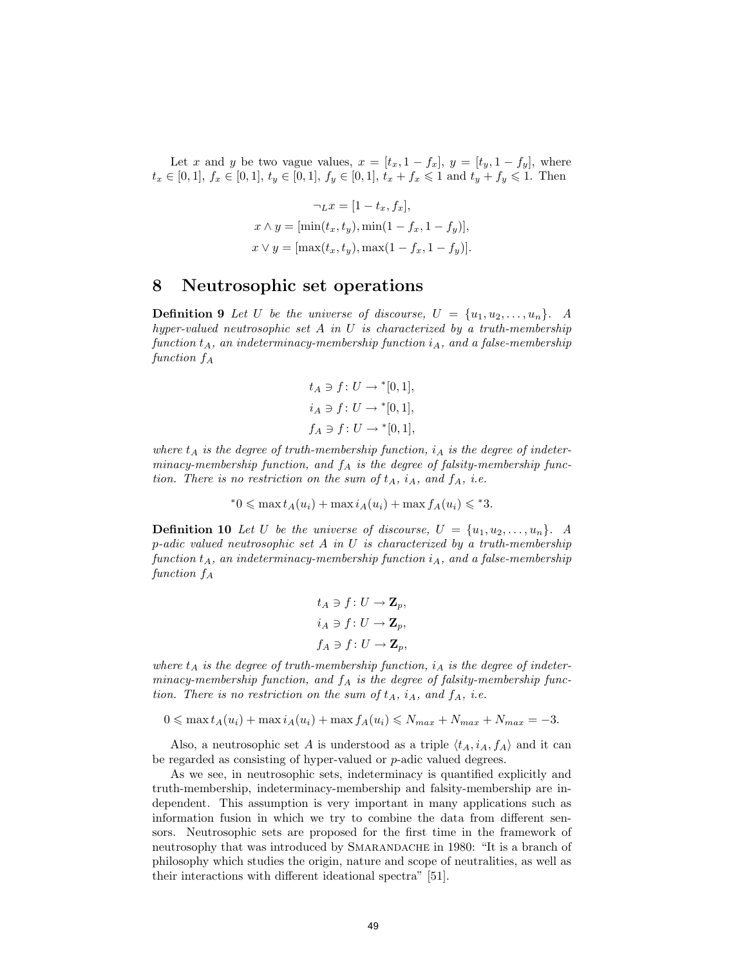Let x and y be two vague values,  $x = [t_x, 1 - t_x], y = [t_y, 1 - t_y],$  where  $t_x \in [0, 1], f_x \in [0, 1], t_y \in [0, 1], f_y \in [0, 1], t_x + f_x \leq 1$  and  $t_y + f_y \leq 1$ . Then

$$
\neg_L x = [1 - t_x, f_x],
$$
  
\n
$$
x \wedge y = [\min(t_x, t_y), \min(1 - f_x, 1 - f_y)],
$$
  
\n
$$
x \vee y = [\max(t_x, t_y), \max(1 - f_x, 1 - f_y)].
$$

#### 8 Neutrosophic set operations

**Definition 9** Let U be the universe of discourse,  $U = \{u_1, u_2, \ldots, u_n\}$ . A hyper-valued neutrosophic set  $A$  in  $U$  is characterized by a truth-membership function  $t_A$ , an indeterminacy-membership function  $i_A$ , and a false-membership function  $f_A$ 

$$
t_A \ni f \colon U \to [0, 1],
$$
  

$$
i_A \ni f \colon U \to [0, 1],
$$
  

$$
f_A \ni f \colon U \to [0, 1],
$$

where  $t_A$  is the degree of truth-membership function,  $i_A$  is the degree of indeterminacy-membership function, and  $f_A$  is the degree of falsity-membership function. There is no restriction on the sum of  $t_A$ ,  $i_A$ , and  $f_A$ , i.e.

$$
^*0 \leqslant \max t_A(u_i) + \max i_A(u_i) + \max f_A(u_i) \leqslant^*3.
$$

**Definition 10** Let U be the universe of discourse,  $U = \{u_1, u_2, \ldots, u_n\}$ . A  $p$ -adic valued neutrosophic set A in U is characterized by a truth-membership function  $t_A$ , an indeterminacy-membership function  $i_A$ , and a false-membership function  $f_A$ 

$$
t_A \ni f: U \to \mathbf{Z}_p,
$$
  
\n
$$
i_A \ni f: U \to \mathbf{Z}_p,
$$
  
\n
$$
f_A \ni f: U \to \mathbf{Z}_p,
$$

where  $t_A$  is the degree of truth-membership function,  $i_A$  is the degree of indeterminacy-membership function, and  $f_A$  is the degree of falsity-membership function. There is no restriction on the sum of  $t_A$ ,  $i_A$ , and  $f_A$ , i.e.

$$
0 \leqslant \max t_A(u_i) + \max i_A(u_i) + \max f_A(u_i) \leqslant N_{max} + N_{max} + N_{max} = -3.
$$

Also, a neutrosophic set A is understood as a triple  $\langle t_A, i_A, f_A \rangle$  and it can be regarded as consisting of hyper-valued or p-adic valued degrees.

As we see, in neutrosophic sets, indeterminacy is quantified explicitly and truth-membership, indeterminacy-membership and falsity-membership are independent. This assumption is very important in many applications such as information fusion in which we try to combine the data from different sensors. Neutrosophic sets are proposed for the first time in the framework of neutrosophy that was introduced by SMARANDACHE in 1980: "It is a branch of philosophy which studies the origin, nature and scope of neutralities, as well as their interactions with different ideational spectra" [51].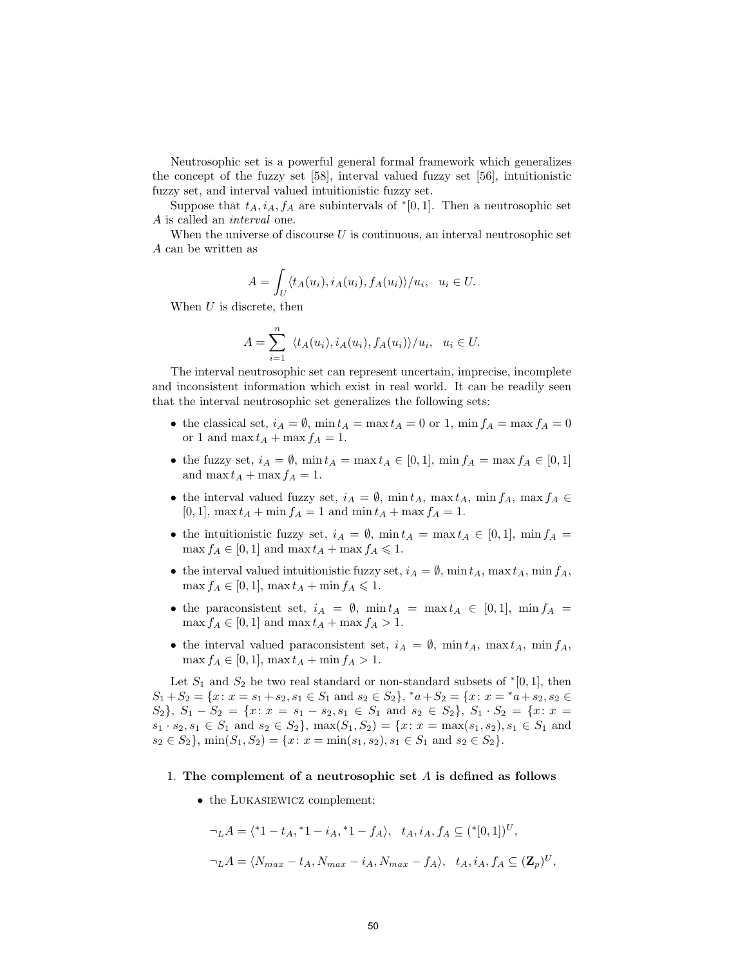Neutrosophic set is a powerful general formal framework which generalizes the concept of the fuzzy set [58], interval valued fuzzy set [56], intuitionistic fuzzy set, and interval valued intuitionistic fuzzy set.

Suppose that  $t_A$ ,  $i_A$ ,  $f_A$  are subintervals of  $\ell[0,1]$ . Then a neutrosophic set A is called an interval one.

When the universe of discourse  $U$  is continuous, an interval neutrosophic set A can be written as

$$
A = \int_U \langle t_A(u_i), i_A(u_i), f_A(u_i) \rangle / u_i, \ u_i \in U.
$$

When  $U$  is discrete, then

$$
A = \sum_{i=1}^{n} \langle t_A(u_i), i_A(u_i), f_A(u_i) \rangle / u_i, \ u_i \in U.
$$

The interval neutrosophic set can represent uncertain, imprecise, incomplete and inconsistent information which exist in real world. It can be readily seen that the interval neutrosophic set generalizes the following sets:

- the classical set,  $i_A = \emptyset$ ,  $\min t_A = \max t_A = 0$  or 1,  $\min f_A = \max f_A = 0$ or 1 and max  $t_A + \max f_A = 1$ .
- the fuzzy set,  $i_A = \emptyset$ ,  $\min t_A = \max t_A \in [0,1]$ ,  $\min f_A = \max f_A \in [0,1]$ and max  $t_A + \max f_A = 1$ .
- the interval valued fuzzy set,  $i_A = \emptyset$ , min  $t_A$ , max  $t_A$ , min  $f_A$ , max  $f_A \in$  $[0, 1]$ , max  $t_A + \min f_A = 1$  and  $\min t_A + \max f_A = 1$ .
- the intuitionistic fuzzy set,  $i_A = \emptyset$ ,  $\min t_A = \max t_A \in [0, 1]$ ,  $\min f_A =$  $\max f_A \in [0,1]$  and  $\max t_A + \max f_A \leq 1$ .
- the interval valued intuitionistic fuzzy set,  $i_A = \emptyset$ , min  $t_A$ , max  $t_A$ , min  $f_A$ ,  $\max f_A \in [0,1], \max t_A + \min f_A \leq 1.$
- the paraconsistent set,  $i_A = \emptyset$ ,  $\min t_A = \max t_A \in [0,1]$ ,  $\min f_A =$  $\max f_A \in [0,1]$  and  $\max t_A + \max f_A > 1$ .
- the interval valued paraconsistent set,  $i_A = \emptyset$ , min  $t_A$ , max  $t_A$ , min  $f_A$ ,  $\max f_A \in [0, 1], \max t_A + \min f_A > 1.$

Let  $S_1$  and  $S_2$  be two real standard or non-standard subsets of  $*(0,1]$ , then  $S_1 + S_2 = \{x \colon x = s_1 + s_2, s_1 \in S_1 \text{ and } s_2 \in S_2\}, *a + S_2 = \{x \colon x = *a + s_2, s_2 \in S_2\}$  $S_2$ ,  $S_1 - S_2 = \{x: x = s_1 - s_2, s_1 \in S_1 \text{ and } s_2 \in S_2\}$ ,  $S_1 \cdot S_2 = \{x: x = s_1, s_2 \}$  $s_1 \cdot s_2, s_1 \in S_1$  and  $s_2 \in S_2$ ,  $\max(S_1, S_2) = \{x : x = \max(s_1, s_2), s_1 \in S_1 \text{ and }$  $s_2 \in S_2$ ,  $\min(S_1, S_2) = \{x \colon x = \min(s_1, s_2), s_1 \in S_1 \text{ and } s_2 \in S_2\}.$ 

- 1. The complement of a neutrosophic set  $A$  is defined as follows
	- the LUKASIEWICZ complement:

$$
\neg LA = \langle {}^*1 - t_A, {}^*1 - i_A, {}^*1 - f_A \rangle, t_A, i_A, f_A \subseteq ({}^*[0,1])^U,
$$
  

$$
\neg LA = \langle N_{max} - t_A, N_{max} - i_A, N_{max} - f_A \rangle, t_A, i_A, f_A \subseteq (\mathbf{Z}_p)^U,
$$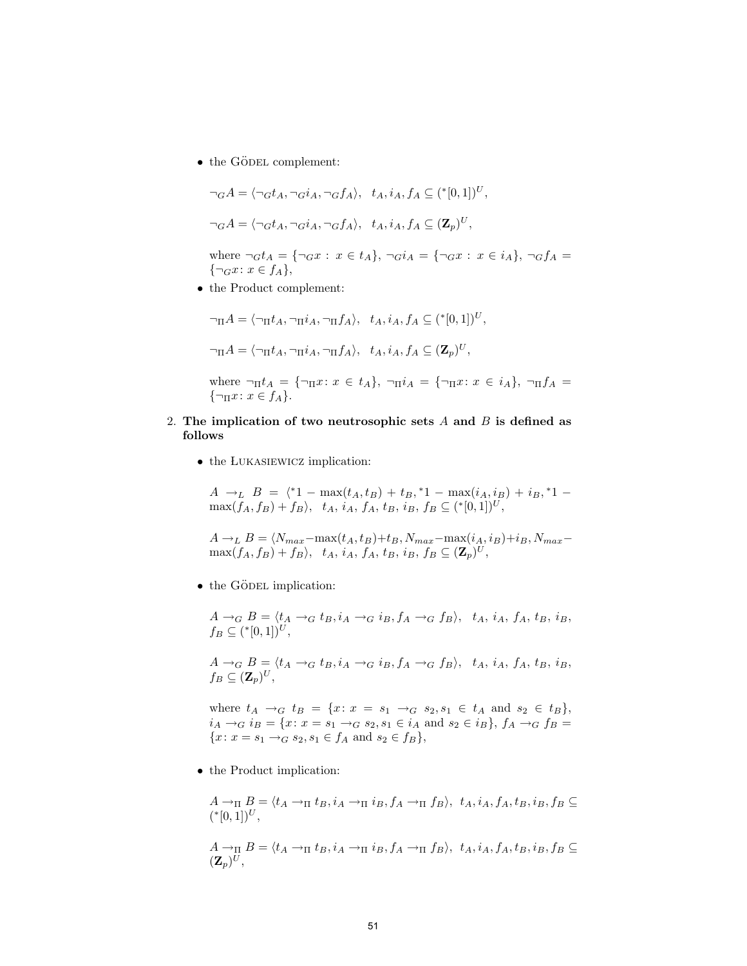$\bullet\,$  the GÖDEL complement:

$$
\neg_G A = \langle \neg_G t_A, \neg_G i_A, \neg_G f_A \rangle, \quad t_A, i_A, f_A \subseteq (*[0,1])^U,
$$
  

$$
\neg_G A = \langle \neg_G t_A, \neg_G i_A, \neg_G f_A \rangle, \quad t_A, i_A, f_A \subseteq (\mathbf{Z}_p)^U,
$$

where  $\neg_G t_A = {\neg_G x : x \in t_A}, \neg_G i_A = {\neg_G x : x \in i_A}, \neg_G f_A =$  $\{\neg_G x : x \in f_A\},\$ 

• the Product complement:

$$
\neg_{\Pi} A = \langle \neg_{\Pi} t_A, \neg_{\Pi} i_A, \neg_{\Pi} f_A \rangle, t_A, i_A, f_A \subseteq (*[0,1])^U,
$$
  

$$
\neg_{\Pi} A = \langle \neg_{\Pi} t_A, \neg_{\Pi} i_A, \neg_{\Pi} f_A \rangle, t_A, i_A, f_A \subseteq (\mathbf{Z}_p)^U,
$$

where  $\neg_\Pi t_A = {\neg_\Pi x \colon x \in t_A}, \neg_\Pi i_A = {\neg_\Pi x \colon x \in i_A}, \neg_\Pi f_A =$  $\{\neg_{\Pi} x : x \in f_A\}.$ 

- 2. The implication of two neutrosophic sets  $A$  and  $B$  is defined as follows
	- the LUKASIEWICZ implication:

 $A \rightarrow_L B = \langle *1 - \max(t_A, t_B) + t_B, *1 - \max(i_A, i_B) + i_B, *1 \max(f_A, f_B) + f_B \rangle$ ,  $t_A$ ,  $i_A$ ,  $f_A$ ,  $t_B$ ,  $i_B$ ,  $f_B \subseteq (*[0, 1])^U$ ,

 $A \rightarrow_L B = \langle N_{max}-\max(t_A, t_B)+t_B, N_{max}-\max(i_A, i_B)+i_B, N_{max}-\}$  $\max(f_A, f_B) + f_B \rangle$ ,  $t_A$ ,  $i_A$ ,  $f_A$ ,  $t_B$ ,  $i_B$ ,  $f_B \subseteq (\mathbf{Z}_p)^U$ ,

 $\bullet$  the GÖDEL implication:

 $A \rightarrow_G B = \langle t_A \rightarrow_G t_B, i_A \rightarrow_G i_B, f_A \rightarrow_G f_B \rangle$ ,  $t_A$ ,  $i_A$ ,  $f_A$ ,  $t_B$ ,  $i_B$ ,  $f_B \subseteq ({\binom{*[0,1]}{U}},$ 

 $A \rightarrow_G B = \langle t_A \rightarrow_G t_B, i_A \rightarrow_G i_B, f_A \rightarrow_G f_B \rangle$ ,  $t_A$ ,  $i_A$ ,  $f_A$ ,  $t_B$ ,  $i_B$ ,  $f_B \subseteq (\mathbf{Z}_p)^U,$ 

where  $t_A \to_G t_B = \{x \colon x = s_1 \to_G s_2, s_1 \in t_A \text{ and } s_2 \in t_B\},\$  $i_A \rightarrow_G i_B = \{x: x = s_1 \rightarrow_G s_2, s_1 \in i_A \text{ and } s_2 \in i_B\}, f_A \rightarrow_G f_B =$  ${x: x = s_1 \rightarrow_G s_2, s_1 \in f_A \text{ and } s_2 \in f_B},$ 

• the Product implication:

$$
A \rightarrow_{\Pi} B = \langle t_A \rightarrow_{\Pi} t_B, i_A \rightarrow_{\Pi} i_B, f_A \rightarrow_{\Pi} f_B \rangle, t_A, i_A, f_A, t_B, i_B, f_B \subseteq
$$
  

$$
({}^{*}[0,1])^U,
$$

$$
A\rightarrow_{\Pi} B = \langle t_A \rightarrow_{\Pi} t_B, i_A \rightarrow_{\Pi} i_B, f_A \rightarrow_{\Pi} f_B \rangle, t_A, i_A, f_A, t_B, i_B, f_B \subseteq (\mathbf{Z}_p)^U,
$$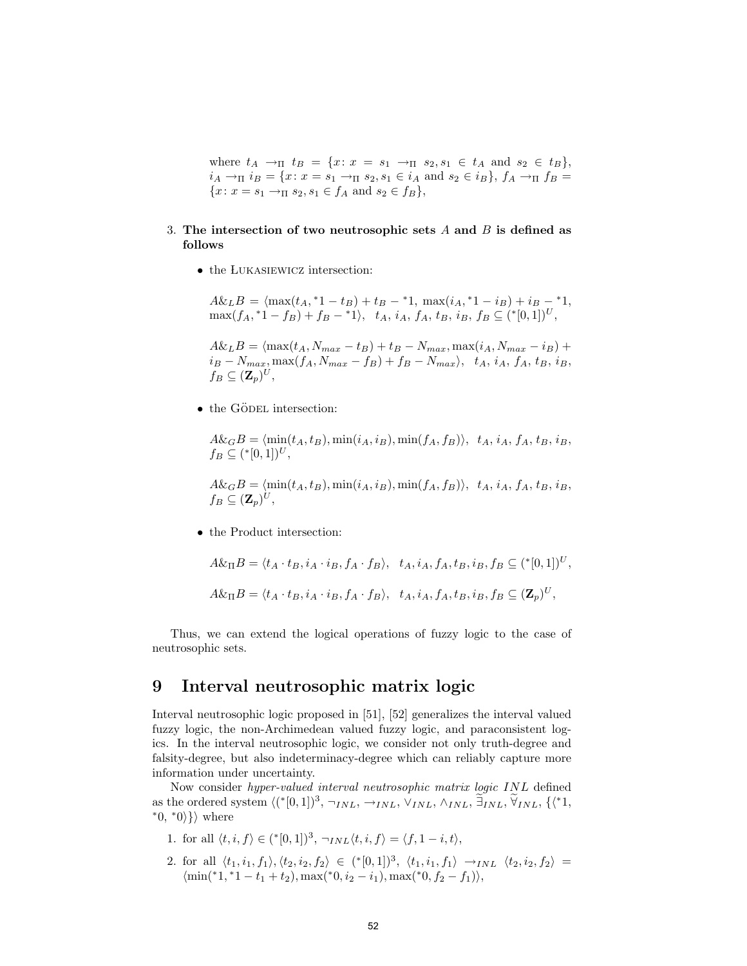where  $t_A \to_{\Pi} t_B = \{x: x = s_1 \to_{\Pi} s_2, s_1 \in t_A \text{ and } s_2 \in t_B\},\$  $i_A \to_{\Pi} i_B = \{x: x = s_1 \to_{\Pi} s_2, s_1 \in i_A \text{ and } s_2 \in i_B\}, f_A \to_{\Pi} f_B =$  ${x: x = s_1 \rightarrow_{\Pi} s_2, s_1 \in f_A \text{ and } s_2 \in f_B},$ 

#### 3. The intersection of two neutrosophic sets  $A$  and  $B$  is defined as follows

• the LUKASIEWICZ intersection:

 $A\&L B = \langle \max(t_A, *1-t_B) + t_B - *1, \ \max(i_A, *1-i_B) + i_B - *1,$  $\max(f_A, {}^*1 - f_B) + f_B - {}^*1 \rangle, \quad t_A, i_A, f_A, t_B, i_B, f_B \subseteq ({}^* [0,1])^U,$ 

 $A\&L B = \langle \max(t_A, N_{max} - t_B) + t_B - N_{max}, \max(i_A, N_{max} - i_B) +$  $i_B - N_{max}, \max(f_A, N_{max} - f_B) + f_B - N_{max}$ ,  $t_A, i_A, f_A, t_B, i_B$ ,  $f_B \subseteq (\mathbf{Z}_p)^U$ ,

• the GÖDEL intersection:

 $A\&GB = \langle \min(t_A, t_B), \min(i_A, i_B), \min(f_A, f_B)\rangle, t_A, i_A, f_A, t_B, i_B,$  $f_B \subseteq ({\binom{*[0,1]}{U}},$ 

 $A\&GB = \langle \min(t_A, t_B), \min(i_A, i_B), \min(f_A, f_B)\rangle, t_A, i_A, f_A, t_B, i_B,$  $f_B \subseteq (\mathbf{Z}_p)^U$ ,

• the Product intersection:

$$
A\&\Pi B = \langle t_A \cdot t_B, i_A \cdot i_B, f_A \cdot f_B \rangle, t_A, i_A, f_A, t_B, i_B, f_B \subseteq {\binom{*[0,1]}^U},
$$
  

$$
A\&\Pi B = \langle t_A \cdot t_B, i_A \cdot i_B, f_A \cdot f_B \rangle, t_A, i_A, f_A, t_B, i_B, f_B \subseteq (\mathbf{Z}_p)^U,
$$

Thus, we can extend the logical operations of fuzzy logic to the case of neutrosophic sets.

#### 9 Interval neutrosophic matrix logic

Interval neutrosophic logic proposed in [51], [52] generalizes the interval valued fuzzy logic, the non-Archimedean valued fuzzy logic, and paraconsistent logics. In the interval neutrosophic logic, we consider not only truth-degree and falsity-degree, but also indeterminacy-degree which can reliably capture more information under uncertainty.

Now consider hyper-valued interval neutrosophic matrix logic INL defined as the ordered system  $\langle (*[0,1])^3, \neg_{INL}, \rightarrow_{INL}, \vee_{INL}, \wedge_{INL}, \exists_{INL}, \widetilde{\forall}_{INL}, \{\langle *1, \rangle\}$ \*0, \*0 $\rangle\}$  where

- 1. for all  $\langle t, i, f \rangle \in (*[0, 1])^3$ ,  $\neg_{INL} \langle t, i, f \rangle = \langle f, 1 i, t \rangle$ ,
- 2. for all  $\langle t_1, i_1, f_1 \rangle, \langle t_2, i_2, f_2 \rangle \in (*[0,1])^3, \langle t_1, i_1, f_1 \rangle \rightarrow_{INL} \langle t_2, i_2, f_2 \rangle =$  $\{\min(*1, *1-t_1+t_2), \max(*0, i_2-i_1), \max(*0, f_2-f_1)\},\$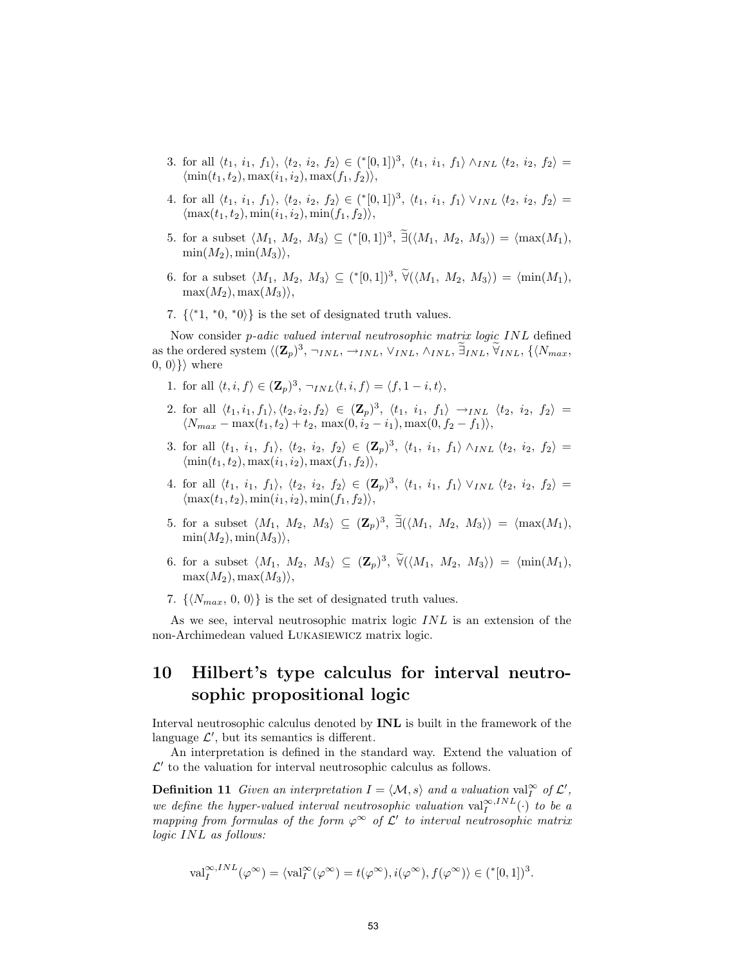- 3. for all  $\langle t_1, i_1, f_1 \rangle, \langle t_2, i_2, f_2 \rangle \in (*[0,1])^3, \langle t_1, i_1, f_1 \rangle \wedge_{INL} \langle t_2, i_2, f_2 \rangle =$  $\langle \min(t_1, t_2), \max(t_1, t_2), \max(t_1, t_2)\rangle$ ,
- 4. for all  $\langle t_1, i_1, f_1 \rangle, \langle t_2, i_2, f_2 \rangle \in (*[0,1])^3, \langle t_1, i_1, f_1 \rangle \vee_{INL} \langle t_2, i_2, f_2 \rangle =$  $\langle \max(t_1, t_2), \min(i_1, i_2), \min(f_1, f_2)\rangle,$
- 5. for a subset  $\langle M_1, M_2, M_3 \rangle \subseteq (*[0,1])^3, \exists (\langle M_1, M_2, M_3 \rangle) = \langle \max(M_1),$  $\min(M_2), \min(M_3)\rangle,$
- 6. for a subset  $\langle M_1, M_2, M_3 \rangle \subseteq (*[0,1])^3, \forall (\langle M_1, M_2, M_3 \rangle) = \langle \min(M_1),$  $\max(M_2), \max(M_3)\rangle,$
- 7.  $\{\langle *1, *0, *0 \rangle\}$  is the set of designated truth values.

Now consider p-adic valued interval neutrosophic matrix logic INL defined as the ordered system  $\langle (\mathbf{Z}_p)^3, \neg_{INL}, \neg_{INL}, \vee_{INL}, \wedge_{INL}, \exists_{INL}, \forall_{INL}, \{\langle N_{max}, \rangle\}$  $(0, 0)$ } where

- 1. for all  $\langle t, i, f \rangle \in (\mathbf{Z}_p)^3$ ,  $\neg_{INL} \langle t, i, f \rangle = \langle f, 1 i, t \rangle$ ,
- 2. for all  $\langle t_1, i_1, f_1 \rangle, \langle t_2, i_2, f_2 \rangle \in (\mathbf{Z}_p)^3$ ,  $\langle t_1, i_1, f_1 \rangle \rightarrow_{INL} \langle t_2, i_2, f_2 \rangle =$  $\langle N_{max} - \max(t_1, t_2) + t_2, \, \max(0, i_2 - i_1), \max(0, f_2 - f_1) \rangle,$
- 3. for all  $\langle t_1, i_1, f_1 \rangle$ ,  $\langle t_2, i_2, f_2 \rangle \in (\mathbf{Z}_p)^3$ ,  $\langle t_1, i_1, f_1 \rangle \wedge_{INL} \langle t_2, i_2, f_2 \rangle =$  $\langle \min(t_1, t_2), \max(t_1, i_2), \max(t_1, t_2)\rangle$ ,
- 4. for all  $\langle t_1, i_1, f_1 \rangle, \langle t_2, i_2, f_2 \rangle \in (\mathbf{Z}_p)^3, \langle t_1, i_1, f_1 \rangle \vee_{INL} \langle t_2, i_2, f_2 \rangle =$  $\langle \max(t_1, t_2), \min(i_1, i_2), \min(f_1, f_2)\rangle$ ,
- 5. for a subset  $\langle M_1, M_2, M_3 \rangle \subseteq (\mathbf{Z}_p)^3$ ,  $\tilde{\exists}(\langle M_1, M_2, M_3 \rangle) = \langle \max(M_1),$  $\min(M_2), \min(M_3)\rangle$ ,
- 6. for a subset  $\langle M_1, M_2, M_3 \rangle \subseteq (\mathbf{Z}_p)^3$ ,  $\widetilde{\forall}(\langle M_1, M_2, M_3 \rangle) = \langle \min(M_1),$  $\max(M_2), \max(M_3)\rangle,$
- 7.  $\{N_{max}, 0, 0\}$  is the set of designated truth values.

As we see, interval neutrosophic matrix logic INL is an extension of the non-Archimedean valued Lukasiewicz matrix logic.

## 10 Hilbert's type calculus for interval neutrosophic propositional logic

Interval neutrosophic calculus denoted by INL is built in the framework of the language  $\mathcal{L}'$ , but its semantics is different.

An interpretation is defined in the standard way. Extend the valuation of  $\mathcal{L}'$  to the valuation for interval neutrosophic calculus as follows.

**Definition 11** Given an interpretation  $I = \langle M, s \rangle$  and a valuation val<sub>I</sub><sup>∞</sup> of  $\mathcal{L}'$ , we define the hyper-valued interval neutrosophic valuation  $\text{val}_{I}^{\infty,INL}(\cdot)$  to be a mapping from formulas of the form  $\varphi^{\infty}$  of  $\mathcal{L}'$  to interval neutrosophic matrix logic INL as follows:

$$
\text{val}_I^{\infty,INL}(\varphi^{\infty}) = \langle \text{val}_I^{\infty}(\varphi^{\infty}) = t(\varphi^{\infty}), i(\varphi^{\infty}), f(\varphi^{\infty}) \rangle \in (\mathbf{X}[0,1])^3.
$$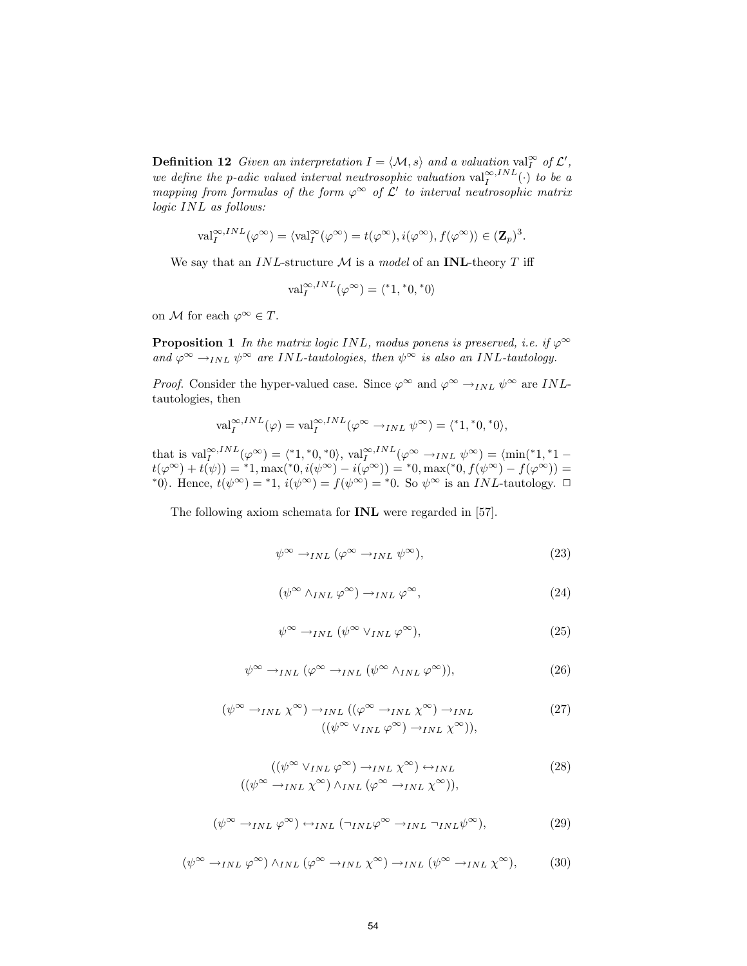**Definition 12** Given an interpretation  $I = \langle M, s \rangle$  and a valuation val<sub>I</sub><sup>∞</sup> of  $\mathcal{L}'$ , we define the p-adic valued interval neutrosophic valuation  $\text{val}_{I}^{\infty,INL}(\cdot)$  to be a mapping from formulas of the form  $\varphi^{\infty}$  of  $\mathcal{L}'$  to interval neutrosophic matrix logic INL as follows:

$$
\mathrm{val}_I^{\infty,INL}(\varphi^{\infty}) = \langle \mathrm{val}_I^{\infty}(\varphi^{\infty}) = t(\varphi^{\infty}), i(\varphi^{\infty}), f(\varphi^{\infty}) \rangle \in (\mathbf{Z}_p)^3.
$$

We say that an  $INL$ -structure M is a model of an INL-theory T iff

$$
\mathrm{val}_I^{\infty,IVL}(\varphi^{\infty}) = \langle *1, *0, *0 \rangle
$$

on M for each  $\varphi^{\infty} \in T$ .

**Proposition 1** In the matrix logic INL, modus ponens is preserved, i.e. if  $\varphi^{\infty}$ and  $\varphi^{\infty} \to_{INL} \psi^{\infty}$  are INL-tautologies, then  $\psi^{\infty}$  is also an INL-tautology.

*Proof.* Consider the hyper-valued case. Since  $\varphi^{\infty}$  and  $\varphi^{\infty} \to_{INL} \psi^{\infty}$  are *INL*tautologies, then

$$
\mathrm{val}_I^{\infty,INL}(\varphi) = \mathrm{val}_I^{\infty,INL}(\varphi^{\infty} \to_{INL} \psi^{\infty}) = \langle *1, *0, *0 \rangle,
$$

that is  $\text{val}_I^{\infty,INL}(\varphi^{\infty}) = \langle *1, *0, *0 \rangle$ ,  $\text{val}_I^{\infty,INL}(\varphi^{\infty} \to_{INL} \psi^{\infty}) = \langle \min(*1, *1$  $t(\varphi^{\infty}) + t(\psi) = {}^{*}1, \max({}^{*}0, i(\psi^{\infty}) - i(\varphi^{\infty})) = {}^{*}0, \max({}^{*}0, f(\psi^{\infty}) - f(\varphi^{\infty})) =$ \*0). Hence,  $t(\psi^{\infty}) =$  \*1,  $i(\psi^{\infty}) = f(\psi^{\infty}) =$  \*0. So  $\psi^{\infty}$  is an *INL*-tautology.  $\Box$ 

The following axiom schemata for INL were regarded in [57].

$$
\psi^{\infty} \to_{INL} (\varphi^{\infty} \to_{INL} \psi^{\infty}), \tag{23}
$$

$$
(\psi^{\infty} \wedge_{INL} \varphi^{\infty}) \rightarrow_{INL} \varphi^{\infty}, \tag{24}
$$

$$
\psi^{\infty} \to_{INL} (\psi^{\infty} \vee_{INL} \varphi^{\infty}), \tag{25}
$$

$$
\psi^{\infty} \to_{INL} (\varphi^{\infty} \to_{INL} (\psi^{\infty} \wedge_{INL} \varphi^{\infty})), \tag{26}
$$

$$
(\psi^{\infty} \to_{INL} \chi^{\infty}) \to_{INL} ((\varphi^{\infty} \to_{INL} \chi^{\infty}) \to_{INL} (27)
$$
  

$$
((\psi^{\infty} \lor_{INL} \varphi^{\infty}) \to_{INL} \chi^{\infty})),
$$

$$
((\psi^{\infty} \vee_{INL} \varphi^{\infty}) \to_{INL} \chi^{\infty}) \leftrightarrow_{INL}
$$
  

$$
((\psi^{\infty} \to_{INL} \chi^{\infty}) \wedge_{INL} (\varphi^{\infty} \to_{INL} \chi^{\infty})),
$$
 (28)

$$
(\psi^{\infty} \to_{INL} \varphi^{\infty}) \leftrightarrow_{INL} (\neg_{INL} \varphi^{\infty} \to_{INL} \neg_{INL} \psi^{\infty}), \tag{29}
$$

$$
(\psi^{\infty} \to_{INL} \varphi^{\infty}) \wedge_{INL} (\varphi^{\infty} \to_{INL} \chi^{\infty}) \to_{INL} (\psi^{\infty} \to_{INL} \chi^{\infty}), \tag{30}
$$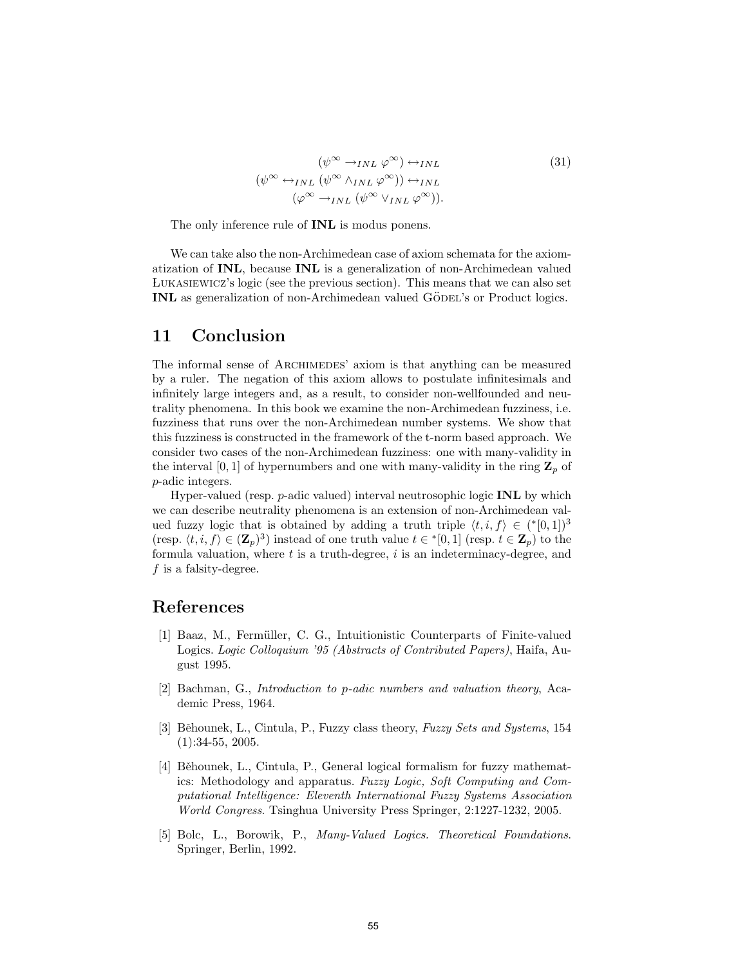$$
(\psi^{\infty} \to_{INL} \varphi^{\infty}) \leftrightarrow_{INL}
$$
  

$$
(\psi^{\infty} \leftrightarrow_{INL} (\psi^{\infty} \land_{INL} \varphi^{\infty})) \leftrightarrow_{INL}
$$
  

$$
(\varphi^{\infty} \to_{INL} (\psi^{\infty} \lor_{INL} \varphi^{\infty})).
$$
  

$$
(31)
$$

The only inference rule of **INL** is modus ponens.

We can take also the non-Archimedean case of axiom schemata for the axiomatization of INL, because INL is a generalization of non-Archimedean valued Lukasiewicz's logic (see the previous section). This means that we can also set INL as generalization of non-Archimedean valued GÖDEL's or Product logics.

#### 11 Conclusion

The informal sense of ARCHIMEDES' axiom is that anything can be measured by a ruler. The negation of this axiom allows to postulate infinitesimals and infinitely large integers and, as a result, to consider non-wellfounded and neutrality phenomena. In this book we examine the non-Archimedean fuzziness, i.e. fuzziness that runs over the non-Archimedean number systems. We show that this fuzziness is constructed in the framework of the t-norm based approach. We consider two cases of the non-Archimedean fuzziness: one with many-validity in the interval [0, 1] of hypernumbers and one with many-validity in the ring  $\mathbf{Z}_p$  of p-adic integers.

Hyper-valued (resp.  $p$ -adic valued) interval neutrosophic logic **INL** by which we can describe neutrality phenomena is an extension of non-Archimedean valued fuzzy logic that is obtained by adding a truth triple  $\langle t, i, f \rangle \in (*[0,1])^3$ (resp.  $\langle t, i, f \rangle \in (\mathbf{Z}_p)^3$ ) instead of one truth value  $t \in \{0, 1\}$  (resp.  $t \in \mathbf{Z}_p$ ) to the formula valuation, where  $t$  is a truth-degree,  $i$  is an indeterminacy-degree, and  $f$  is a falsity-degree.

#### References

- [1] Baaz, M., Fermüller, C. G., Intuitionistic Counterparts of Finite-valued Logics. Logic Colloquium '95 (Abstracts of Contributed Papers), Haifa, August 1995.
- [2] Bachman, G., Introduction to p-adic numbers and valuation theory, Academic Press, 1964.
- [3] Běhounek, L., Cintula, P., Fuzzy class theory, Fuzzy Sets and Systems, 154 (1):34-55, 2005.
- [4] Běhounek, L., Cintula, P., General logical formalism for fuzzy mathematics: Methodology and apparatus. Fuzzy Logic, Soft Computing and Computational Intelligence: Eleventh International Fuzzy Systems Association World Congress. Tsinghua University Press Springer, 2:1227-1232, 2005.
- [5] Bolc, L., Borowik, P., Many-Valued Logics. Theoretical Foundations. Springer, Berlin, 1992.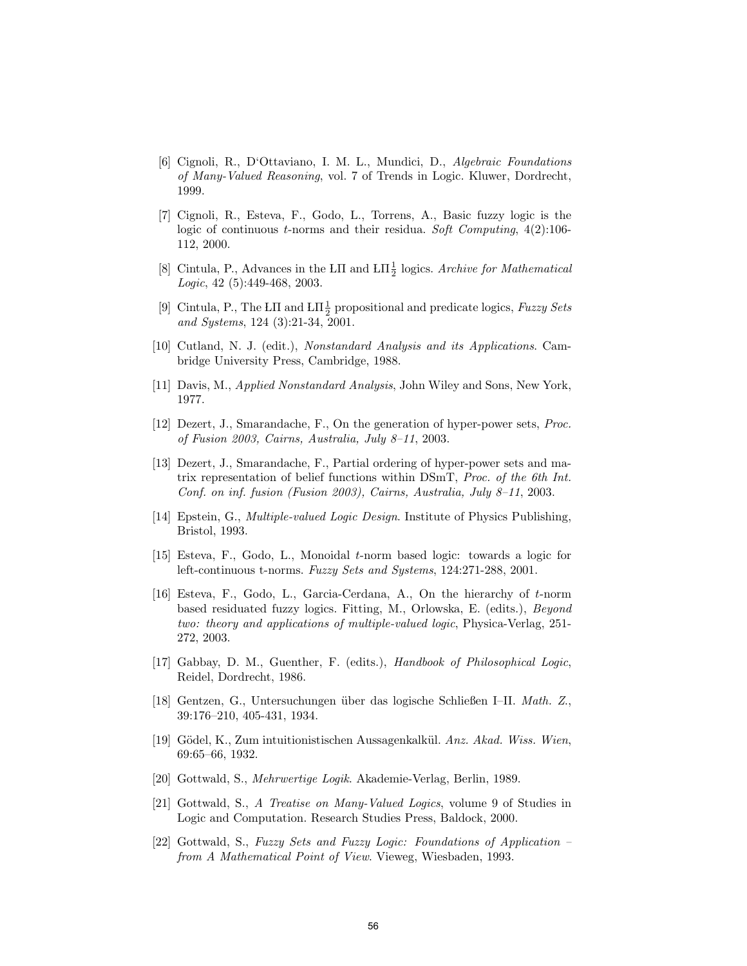- [6] Cignoli, R., D'Ottaviano, I. M. L., Mundici, D., Algebraic Foundations of Many-Valued Reasoning, vol. 7 of Trends in Logic. Kluwer, Dordrecht, 1999.
- [7] Cignoli, R., Esteva, F., Godo, L., Torrens, A., Basic fuzzy logic is the logic of continuous t-norms and their residua. Soft Computing,  $4(2)$ :106-112, 2000.
- [8] Cintula, P., Advances in the LII and  $LT\frac{1}{2}$  logics. Archive for Mathematical Logic, 42 (5):449-468, 2003.
- [9] Cintula, P., The LII and  $L\Pi \frac{1}{2}$  propositional and predicate logics, Fuzzy Sets and Systems, 124 (3):21-34, 2001.
- [10] Cutland, N. J. (edit.), Nonstandard Analysis and its Applications. Cambridge University Press, Cambridge, 1988.
- [11] Davis, M., Applied Nonstandard Analysis, John Wiley and Sons, New York, 1977.
- [12] Dezert, J., Smarandache, F., On the generation of hyper-power sets, Proc. of Fusion 2003, Cairns, Australia, July 8–11, 2003.
- [13] Dezert, J., Smarandache, F., Partial ordering of hyper-power sets and matrix representation of belief functions within DSmT, Proc. of the 6th Int. Conf. on inf. fusion (Fusion 2003), Cairns, Australia, July 8–11, 2003.
- [14] Epstein, G., *Multiple-valued Logic Design*. Institute of Physics Publishing, Bristol, 1993.
- [15] Esteva, F., Godo, L., Monoidal t-norm based logic: towards a logic for left-continuous t-norms. Fuzzy Sets and Systems, 124:271-288, 2001.
- [16] Esteva, F., Godo, L., Garcia-Cerdana, A., On the hierarchy of t-norm based residuated fuzzy logics. Fitting, M., Orlowska, E. (edits.), Beyond two: theory and applications of multiple-valued logic, Physica-Verlag, 251- 272, 2003.
- [17] Gabbay, D. M., Guenther, F. (edits.), Handbook of Philosophical Logic, Reidel, Dordrecht, 1986.
- [18] Gentzen, G., Untersuchungen ¨uber das logische Schließen I–II. Math. Z., 39:176–210, 405-431, 1934.
- [19] Gödel, K., Zum intuitionistischen Aussagenkalkül. Anz. Akad. Wiss. Wien, 69:65–66, 1932.
- [20] Gottwald, S., Mehrwertige Logik. Akademie-Verlag, Berlin, 1989.
- [21] Gottwald, S., A Treatise on Many-Valued Logics, volume 9 of Studies in Logic and Computation. Research Studies Press, Baldock, 2000.
- [22] Gottwald, S., Fuzzy Sets and Fuzzy Logic: Foundations of Application from A Mathematical Point of View. Vieweg, Wiesbaden, 1993.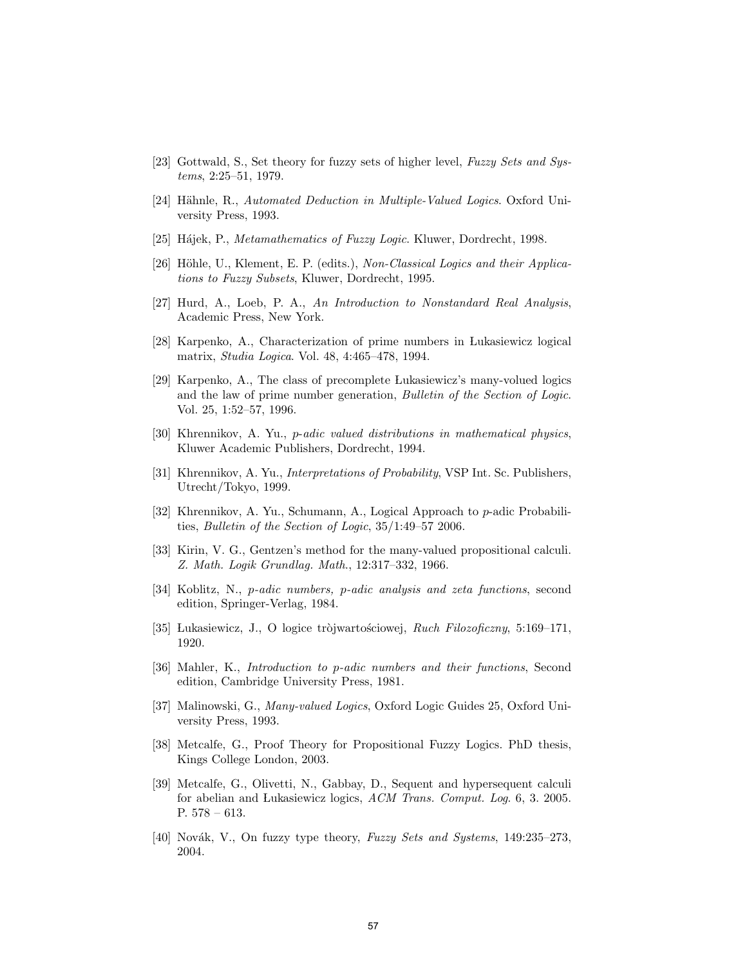- [23] Gottwald, S., Set theory for fuzzy sets of higher level, Fuzzy Sets and Systems, 2:25–51, 1979.
- [24] Hähnle, R., Automated Deduction in Multiple-Valued Logics. Oxford University Press, 1993.
- [25] Hájek, P., Metamathematics of Fuzzy Logic. Kluwer, Dordrecht, 1998.
- [26] Höhle, U., Klement, E. P. (edits.), Non-Classical Logics and their Applications to Fuzzy Subsets, Kluwer, Dordrecht, 1995.
- [27] Hurd, A., Loeb, P. A., An Introduction to Nonstandard Real Analysis, Academic Press, New York.
- [28] Karpenko, A., Characterization of prime numbers in Lukasiewicz logical matrix, Studia Logica. Vol. 48, 4:465–478, 1994.
- [29] Karpenko, A., The class of precomplete Lukasiewicz's many-volued logics and the law of prime number generation, Bulletin of the Section of Logic. Vol. 25, 1:52–57, 1996.
- [30] Khrennikov, A. Yu., p-adic valued distributions in mathematical physics, Kluwer Academic Publishers, Dordrecht, 1994.
- [31] Khrennikov, A. Yu., Interpretations of Probability, VSP Int. Sc. Publishers, Utrecht/Tokyo, 1999.
- [32] Khrennikov, A. Yu., Schumann, A., Logical Approach to p-adic Probabilities, Bulletin of the Section of Logic, 35/1:49–57 2006.
- [33] Kirin, V. G., Gentzen's method for the many-valued propositional calculi. Z. Math. Logik Grundlag. Math., 12:317–332, 1966.
- [34] Koblitz, N., p-adic numbers, p-adic analysis and zeta functions, second edition, Springer-Verlag, 1984.
- [35] Lukasiewicz, J., O logice tròjwartosciowej, Ruch Filozoficzny, 5:169–171, 1920.
- [36] Mahler, K., Introduction to p-adic numbers and their functions, Second edition, Cambridge University Press, 1981.
- [37] Malinowski, G., Many-valued Logics, Oxford Logic Guides 25, Oxford University Press, 1993.
- [38] Metcalfe, G., Proof Theory for Propositional Fuzzy Logics. PhD thesis, Kings College London, 2003.
- [39] Metcalfe, G., Olivetti, N., Gabbay, D., Sequent and hypersequent calculi for abelian and Lukasiewicz logics, ACM Trans. Comput. Log. 6, 3. 2005. P. 578 – 613.
- [40] Novák, V., On fuzzy type theory, Fuzzy Sets and Systems, 149:235–273, 2004.